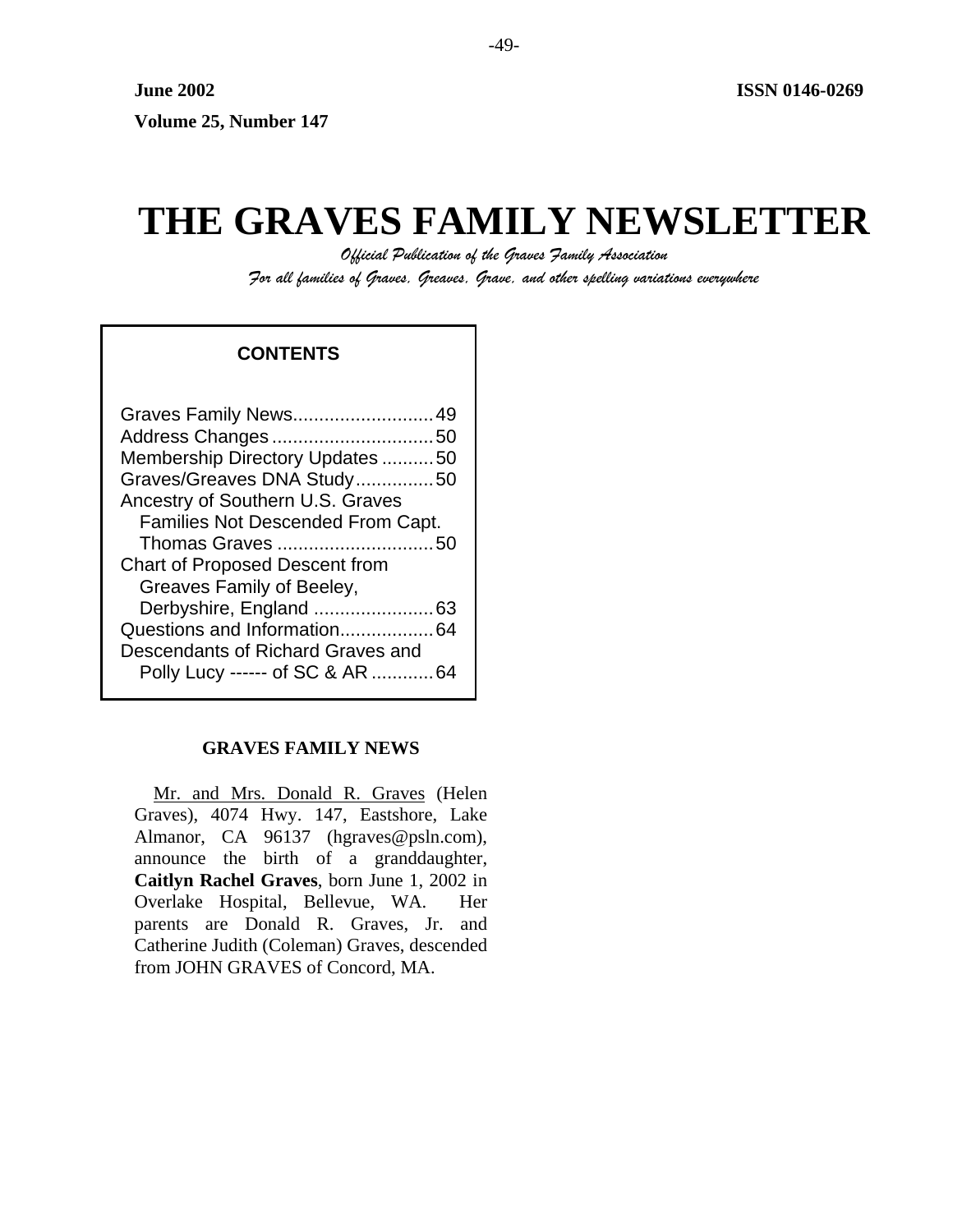# **THE GRAVES FAMILY NEWSLETTER**

*Official Publication of the Graves Family Association For all families of Graves, Greaves, Grave, and other spelling variations everywhere* 

# **CONTENTS**

# **GRAVES FAMILY NEWS**

Mr. and Mrs. Donald R. Graves (Helen Graves), 4074 Hwy. 147, Eastshore, Lake Almanor, CA 96137 (hgraves@psln.com), announce the birth of a granddaughter, **Caitlyn Rachel Graves**, born June 1, 2002 in Overlake Hospital, Bellevue, WA. Her parents are Donald R. Graves, Jr. and Catherine Judith (Coleman) Graves, descended from JOHN GRAVES of Concord, MA.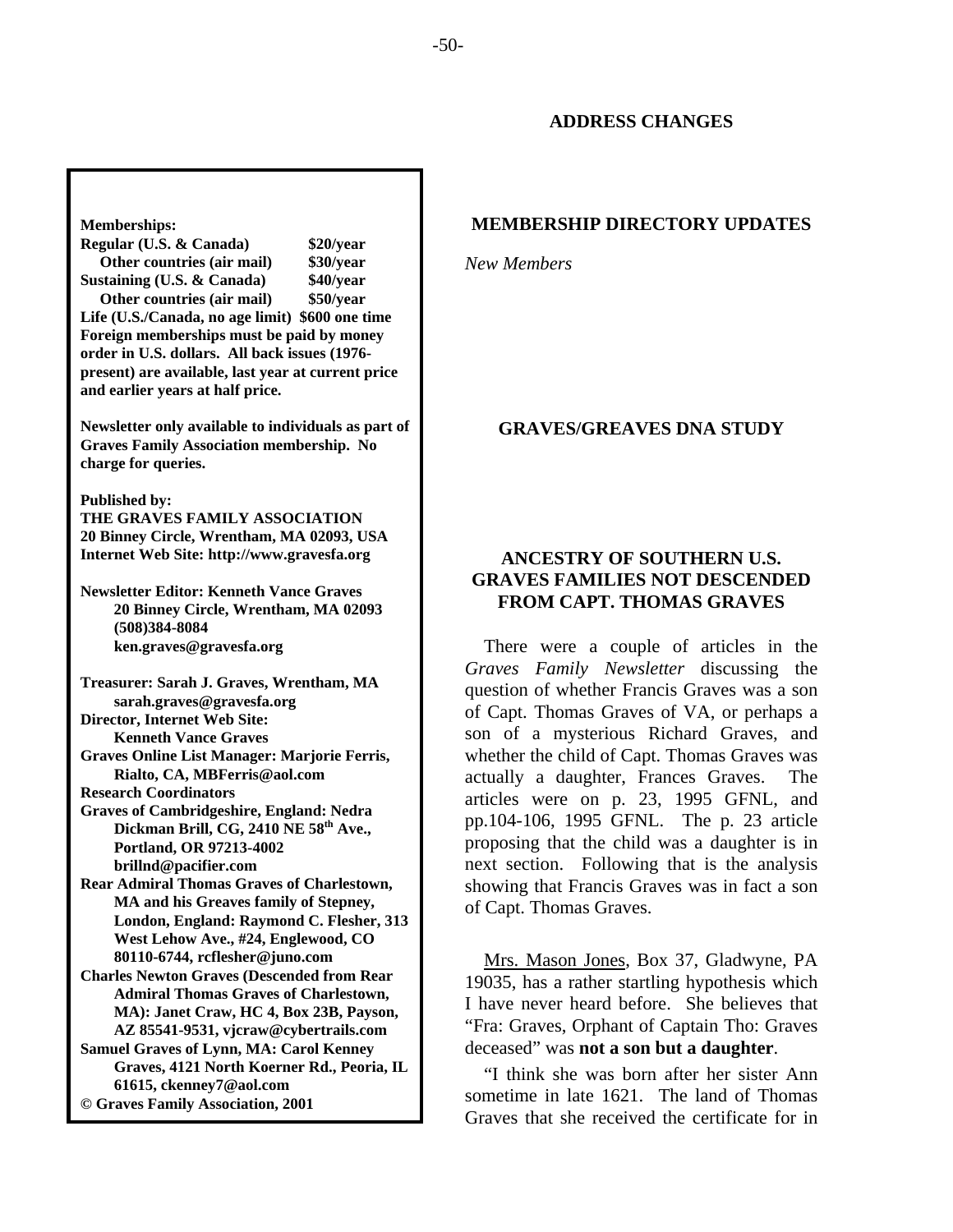# **MEMBERSHIP DIRECTORY UPDATES**

*New Members* 

## **GRAVES/GREAVES DNA STUDY**

# **ANCESTRY OF SOUTHERN U.S. GRAVES FAMILIES NOT DESCENDED FROM CAPT. THOMAS GRAVES**

There were a couple of articles in the *Graves Family Newsletter* discussing the question of whether Francis Graves was a son of Capt. Thomas Graves of VA, or perhaps a son of a mysterious Richard Graves, and whether the child of Capt. Thomas Graves was actually a daughter, Frances Graves. The articles were on p. 23, 1995 GFNL, and pp.104-106, 1995 GFNL. The p. 23 article proposing that the child was a daughter is in next section. Following that is the analysis showing that Francis Graves was in fact a son of Capt. Thomas Graves.

Mrs. Mason Jones, Box 37, Gladwyne, PA 19035, has a rather startling hypothesis which I have never heard before. She believes that "Fra: Graves, Orphant of Captain Tho: Graves deceased" was **not a son but a daughter**.

"I think she was born after her sister Ann sometime in late 1621. The land of Thomas Graves that she received the certificate for in

#### **Memberships:**

**Regular (U.S. & Canada) \$20/year Other countries (air mail) \$30/year Sustaining (U.S. & Canada) \$40/year Other countries (air mail) \$50/year Life (U.S./Canada, no age limit) \$600 one time Foreign memberships must be paid by money order in U.S. dollars. All back issues (1976 present) are available, last year at current price and earlier years at half price.** 

**Newsletter only available to individuals as part of Graves Family Association membership. No charge for queries.** 

**Published by:** 

**THE GRAVES FAMILY ASSOCIATION 20 Binney Circle, Wrentham, MA 02093, USA Internet Web Site: http://www.gravesfa.org** 

**Newsletter Editor: Kenneth Vance Graves 20 Binney Circle, Wrentham, MA 02093 (508)384-8084 ken.graves@gravesfa.org** 

**Treasurer: Sarah J. Graves, Wrentham, MA sarah.graves@gravesfa.org Director, Internet Web Site: Kenneth Vance Graves Graves Online List Manager: Marjorie Ferris, Rialto, CA, MBFerris@aol.com** 

**Research Coordinators** 

**Graves of Cambridgeshire, England: Nedra Dickman Brill, CG, 2410 NE 58th Ave., Portland, OR 97213-4002 brillnd@pacifier.com** 

**Rear Admiral Thomas Graves of Charlestown, MA and his Greaves family of Stepney, London, England: Raymond C. Flesher, 313 West Lehow Ave., #24, Englewood, CO 80110-6744, rcflesher@juno.com** 

**Charles Newton Graves (Descended from Rear Admiral Thomas Graves of Charlestown, MA): Janet Craw, HC 4, Box 23B, Payson, AZ 85541-9531, vjcraw@cybertrails.com** 

**Samuel Graves of Lynn, MA: Carol Kenney Graves, 4121 North Koerner Rd., Peoria, IL 61615, ckenney7@aol.com © Graves Family Association, 2001**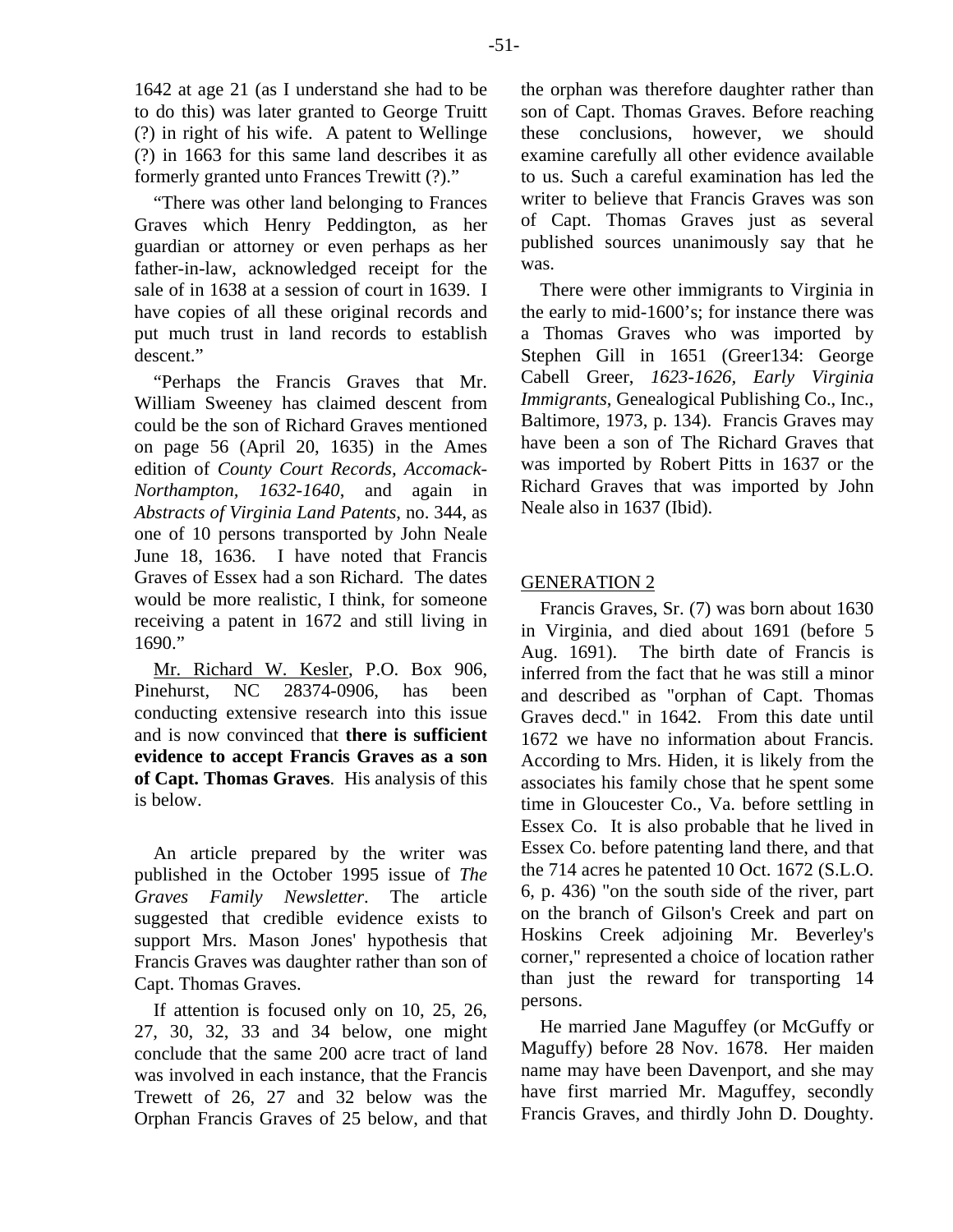1642 at age 21 (as I understand she had to be to do this) was later granted to George Truitt (?) in right of his wife. A patent to Wellinge (?) in 1663 for this same land describes it as formerly granted unto Frances Trewitt (?)."

"There was other land belonging to Frances Graves which Henry Peddington, as her guardian or attorney or even perhaps as her father-in-law, acknowledged receipt for the sale of in 1638 at a session of court in 1639. I have copies of all these original records and put much trust in land records to establish descent."

"Perhaps the Francis Graves that Mr. William Sweeney has claimed descent from could be the son of Richard Graves mentioned on page 56 (April 20, 1635) in the Ames edition of *County Court Records, Accomack-Northampton, 1632-1640*, and again in *Abstracts of Virginia Land Patents*, no. 344, as one of 10 persons transported by John Neale June 18, 1636. I have noted that Francis Graves of Essex had a son Richard. The dates would be more realistic, I think, for someone receiving a patent in 1672 and still living in 1690."

Mr. Richard W. Kesler, P.O. Box 906, Pinehurst, NC 28374-0906, has been conducting extensive research into this issue and is now convinced that **there is sufficient evidence to accept Francis Graves as a son of Capt. Thomas Graves**. His analysis of this is below.

An article prepared by the writer was published in the October 1995 issue of *The Graves Family Newsletter*. The article suggested that credible evidence exists to support Mrs. Mason Jones' hypothesis that Francis Graves was daughter rather than son of Capt. Thomas Graves.

If attention is focused only on 10, 25, 26, 27, 30, 32, 33 and 34 below, one might conclude that the same 200 acre tract of land was involved in each instance, that the Francis Trewett of 26, 27 and 32 below was the Orphan Francis Graves of 25 below, and that the orphan was therefore daughter rather than son of Capt. Thomas Graves. Before reaching these conclusions, however, we should examine carefully all other evidence available to us. Such a careful examination has led the writer to believe that Francis Graves was son of Capt. Thomas Graves just as several published sources unanimously say that he was.

There were other immigrants to Virginia in the early to mid-1600's; for instance there was a Thomas Graves who was imported by Stephen Gill in 1651 (Greer134: George Cabell Greer, *1623-1626, Early Virginia Immigrants*, Genealogical Publishing Co., Inc., Baltimore, 1973, p. 134). Francis Graves may have been a son of The Richard Graves that was imported by Robert Pitts in 1637 or the Richard Graves that was imported by John Neale also in 1637 (Ibid).

# GENERATION 2

Francis Graves, Sr. (7) was born about 1630 in Virginia, and died about 1691 (before 5 Aug. 1691). The birth date of Francis is inferred from the fact that he was still a minor and described as "orphan of Capt. Thomas Graves decd." in 1642. From this date until 1672 we have no information about Francis. According to Mrs. Hiden, it is likely from the associates his family chose that he spent some time in Gloucester Co., Va. before settling in Essex Co. It is also probable that he lived in Essex Co. before patenting land there, and that the 714 acres he patented 10 Oct. 1672 (S.L.O. 6, p. 436) "on the south side of the river, part on the branch of Gilson's Creek and part on Hoskins Creek adjoining Mr. Beverley's corner," represented a choice of location rather than just the reward for transporting 14 persons.

He married Jane Maguffey (or McGuffy or Maguffy) before 28 Nov. 1678. Her maiden name may have been Davenport, and she may have first married Mr. Maguffey, secondly Francis Graves, and thirdly John D. Doughty.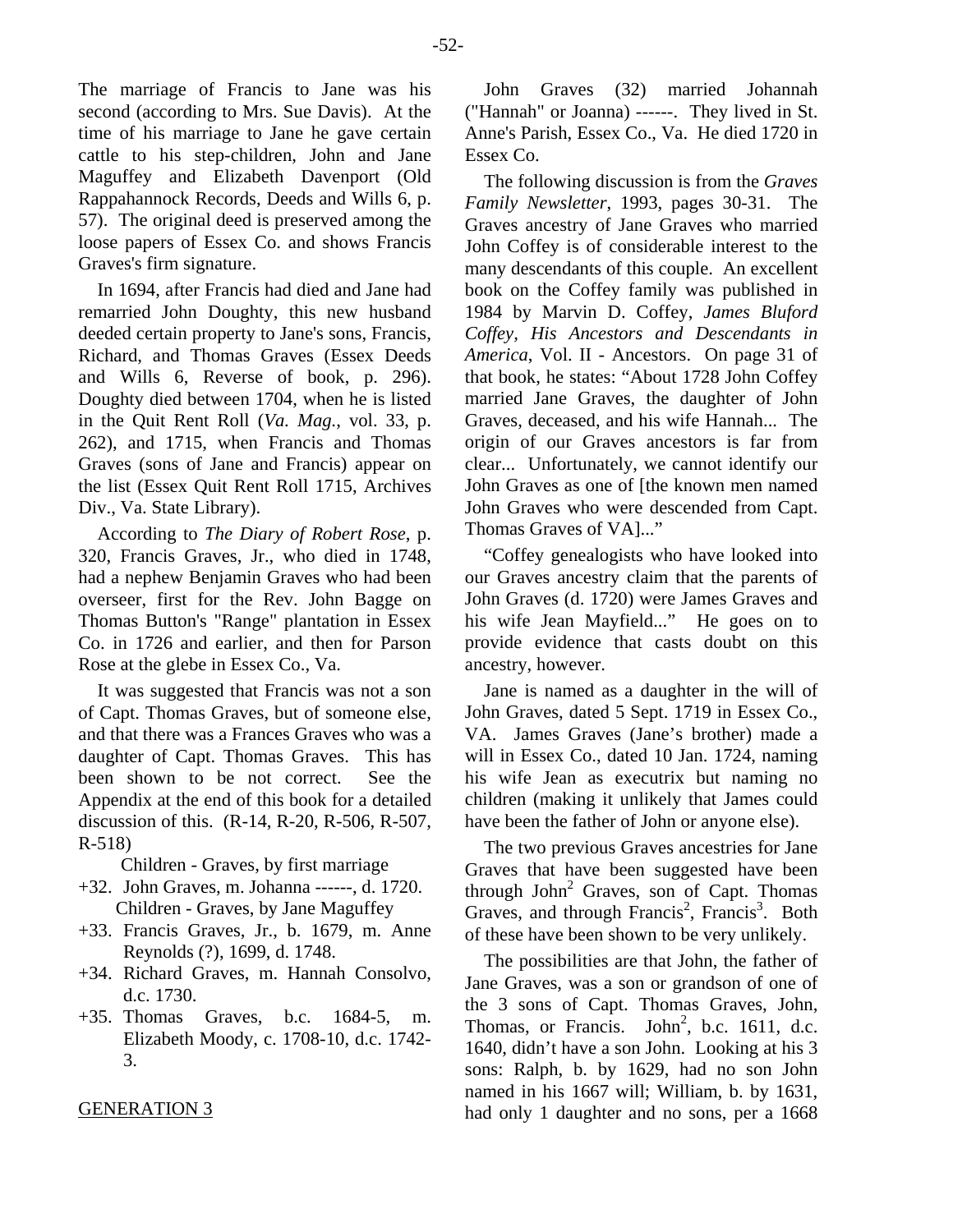The marriage of Francis to Jane was his second (according to Mrs. Sue Davis). At the time of his marriage to Jane he gave certain cattle to his step-children, John and Jane Maguffey and Elizabeth Davenport (Old Rappahannock Records, Deeds and Wills 6, p. 57). The original deed is preserved among the loose papers of Essex Co. and shows Francis Graves's firm signature.

In 1694, after Francis had died and Jane had remarried John Doughty, this new husband deeded certain property to Jane's sons, Francis, Richard, and Thomas Graves (Essex Deeds and Wills 6, Reverse of book, p. 296). Doughty died between 1704, when he is listed in the Quit Rent Roll (*Va. Mag.*, vol. 33, p. 262), and 1715, when Francis and Thomas Graves (sons of Jane and Francis) appear on the list (Essex Quit Rent Roll 1715, Archives Div., Va. State Library).

According to *The Diary of Robert Rose*, p. 320, Francis Graves, Jr., who died in 1748, had a nephew Benjamin Graves who had been overseer, first for the Rev. John Bagge on Thomas Button's "Range" plantation in Essex Co. in 1726 and earlier, and then for Parson Rose at the glebe in Essex Co., Va.

It was suggested that Francis was not a son of Capt. Thomas Graves, but of someone else, and that there was a Frances Graves who was a daughter of Capt. Thomas Graves. This has been shown to be not correct. See the Appendix at the end of this book for a detailed discussion of this. (R-14, R-20, R-506, R-507, R-518)

Children - Graves, by first marriage

- +32. John Graves, m. Johanna ------, d. 1720. Children - Graves, by Jane Maguffey
- +33. Francis Graves, Jr., b. 1679, m. Anne Reynolds (?), 1699, d. 1748.
- +34. Richard Graves, m. Hannah Consolvo, d.c. 1730.
- +35. Thomas Graves, b.c. 1684-5, m. Elizabeth Moody, c. 1708-10, d.c. 1742- 3.

## GENERATION 3

John Graves (32) married Johannah ("Hannah" or Joanna) ------. They lived in St. Anne's Parish, Essex Co., Va. He died 1720 in Essex Co.

The following discussion is from the *Graves Family Newsletter*, 1993, pages 30-31. The Graves ancestry of Jane Graves who married John Coffey is of considerable interest to the many descendants of this couple. An excellent book on the Coffey family was published in 1984 by Marvin D. Coffey, *James Bluford Coffey, His Ancestors and Descendants in America*, Vol. II - Ancestors. On page 31 of that book, he states: "About 1728 John Coffey married Jane Graves, the daughter of John Graves, deceased, and his wife Hannah... The origin of our Graves ancestors is far from clear... Unfortunately, we cannot identify our John Graves as one of [the known men named John Graves who were descended from Capt. Thomas Graves of VA]..."

"Coffey genealogists who have looked into our Graves ancestry claim that the parents of John Graves (d. 1720) were James Graves and his wife Jean Mayfield..." He goes on to provide evidence that casts doubt on this ancestry, however.

Jane is named as a daughter in the will of John Graves, dated 5 Sept. 1719 in Essex Co., VA. James Graves (Jane's brother) made a will in Essex Co., dated 10 Jan. 1724, naming his wife Jean as executrix but naming no children (making it unlikely that James could have been the father of John or anyone else).

The two previous Graves ancestries for Jane Graves that have been suggested have been through John<sup>2</sup> Graves, son of Capt. Thomas Graves, and through Francis<sup>2</sup>, Francis<sup>3</sup>. Both of these have been shown to be very unlikely.

The possibilities are that John, the father of Jane Graves, was a son or grandson of one of the 3 sons of Capt. Thomas Graves, John, Thomas, or Francis. John<sup>2</sup>, b.c. 1611, d.c. 1640, didn't have a son John. Looking at his 3 sons: Ralph, b. by 1629, had no son John named in his 1667 will; William, b. by 1631, had only 1 daughter and no sons, per a 1668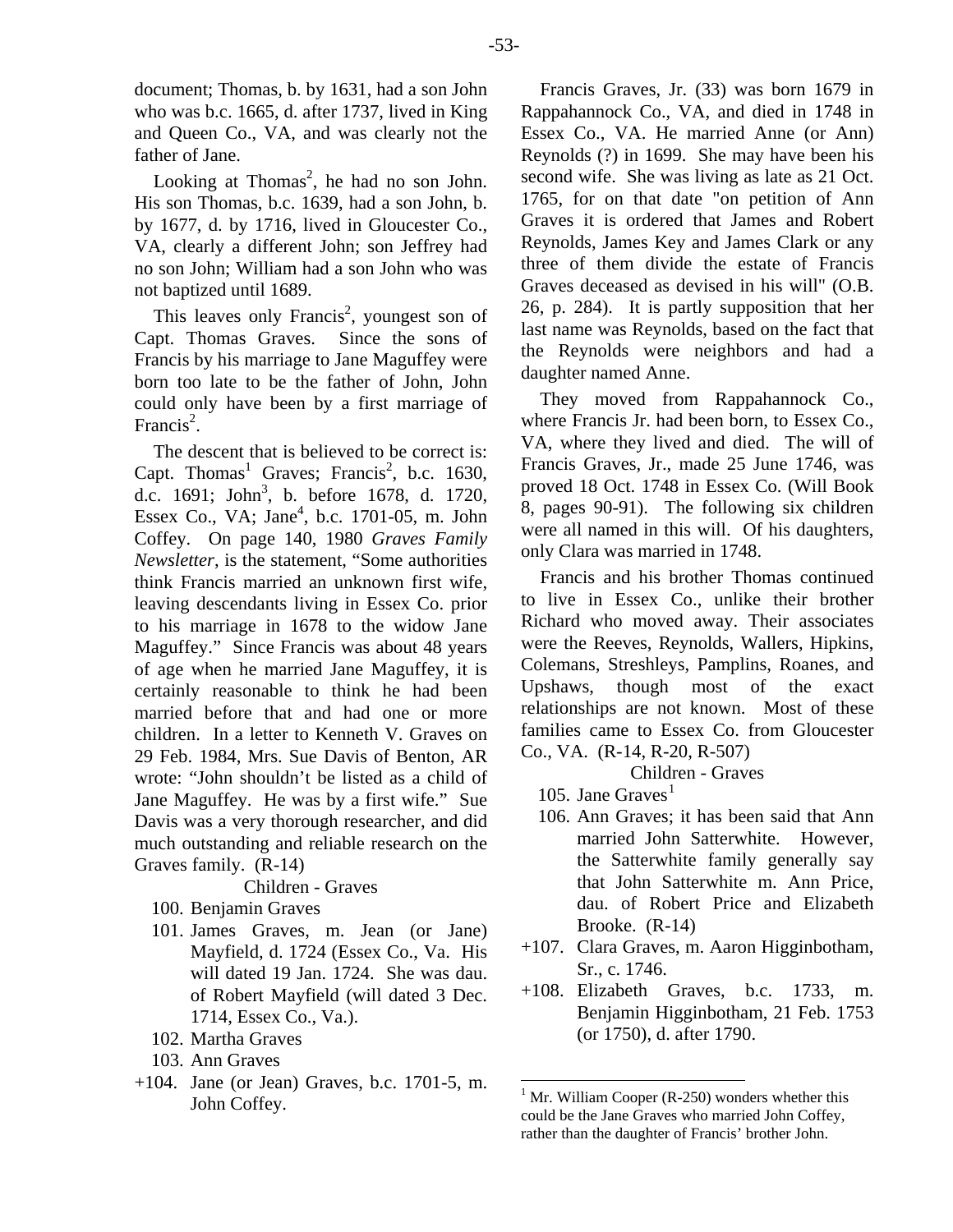document; Thomas, b. by 1631, had a son John who was b.c. 1665, d. after 1737, lived in King and Queen Co., VA, and was clearly not the father of Jane.

Looking at Thomas<sup>2</sup>, he had no son John. His son Thomas, b.c. 1639, had a son John, b. by 1677, d. by 1716, lived in Gloucester Co., VA, clearly a different John; son Jeffrey had no son John; William had a son John who was not baptized until 1689.

This leaves only Francis<sup>2</sup>, youngest son of Capt. Thomas Graves. Since the sons of Francis by his marriage to Jane Maguffey were born too late to be the father of John, John could only have been by a first marriage of Francis<sup>2</sup>.

The descent that is believed to be correct is: Capt. Thomas<sup>1</sup> Graves; Francis<sup>2</sup>, b.c. 1630, d.c. 1691; John<sup>3</sup>, b. before 1678, d. 1720, Essex Co., VA; Jane<sup>4</sup>, b.c. 1701-05, m. John Coffey. On page 140, 1980 *Graves Family Newsletter*, is the statement, "Some authorities think Francis married an unknown first wife, leaving descendants living in Essex Co. prior to his marriage in 1678 to the widow Jane Maguffey." Since Francis was about 48 years of age when he married Jane Maguffey, it is certainly reasonable to think he had been married before that and had one or more children. In a letter to Kenneth V. Graves on 29 Feb. 1984, Mrs. Sue Davis of Benton, AR wrote: "John shouldn't be listed as a child of Jane Maguffey. He was by a first wife." Sue Davis was a very thorough researcher, and did much outstanding and reliable research on the Graves family. (R-14)

# Children - Graves

- 100. Benjamin Graves
- 101. James Graves, m. Jean (or Jane) Mayfield, d. 1724 (Essex Co., Va. His will dated 19 Jan. 1724. She was dau. of Robert Mayfield (will dated 3 Dec. 1714, Essex Co., Va.).
- 102. Martha Graves
- 103. Ann Graves
- <span id="page-4-0"></span>+104. Jane (or Jean) Graves, b.c. 1701-5, m. John Coffey.

Francis Graves, Jr. (33) was born 1679 in Rappahannock Co., VA, and died in 1748 in Essex Co., VA. He married Anne (or Ann) Reynolds (?) in 1699. She may have been his second wife. She was living as late as 21 Oct. 1765, for on that date "on petition of Ann Graves it is ordered that James and Robert Reynolds, James Key and James Clark or any three of them divide the estate of Francis Graves deceased as devised in his will" (O.B. 26, p. 284). It is partly supposition that her last name was Reynolds, based on the fact that the Reynolds were neighbors and had a daughter named Anne.

They moved from Rappahannock Co., where Francis Jr. had been born, to Essex Co., VA, where they lived and died. The will of Francis Graves, Jr., made 25 June 1746, was proved 18 Oct. 1748 in Essex Co. (Will Book 8, pages 90-91). The following six children were all named in this will. Of his daughters, only Clara was married in 1748.

Francis and his brother Thomas continued to live in Essex Co., unlike their brother Richard who moved away. Their associates were the Reeves, Reynolds, Wallers, Hipkins, Colemans, Streshleys, Pamplins, Roanes, and Upshaws, though most of the exact relationships are not known. Most of these families came to Essex Co. from Gloucester Co., VA. (R-14, R-20, R-507)

- [1](#page-4-0)05. Jane Graves $<sup>1</sup>$ </sup>
- 106. Ann Graves; it has been said that Ann married John Satterwhite. However, the Satterwhite family generally say that John Satterwhite m. Ann Price, dau. of Robert Price and Elizabeth Brooke. (R-14)
- +107. Clara Graves, m. Aaron Higginbotham, Sr., c. 1746.
- +108. Elizabeth Graves, b.c. 1733, m. Benjamin Higginbotham, 21 Feb. 1753 (or 1750), d. after 1790.

 $<sup>1</sup>$  Mr. William Cooper (R-250) wonders whether this</sup> could be the Jane Graves who married John Coffey, rather than the daughter of Francis' brother John.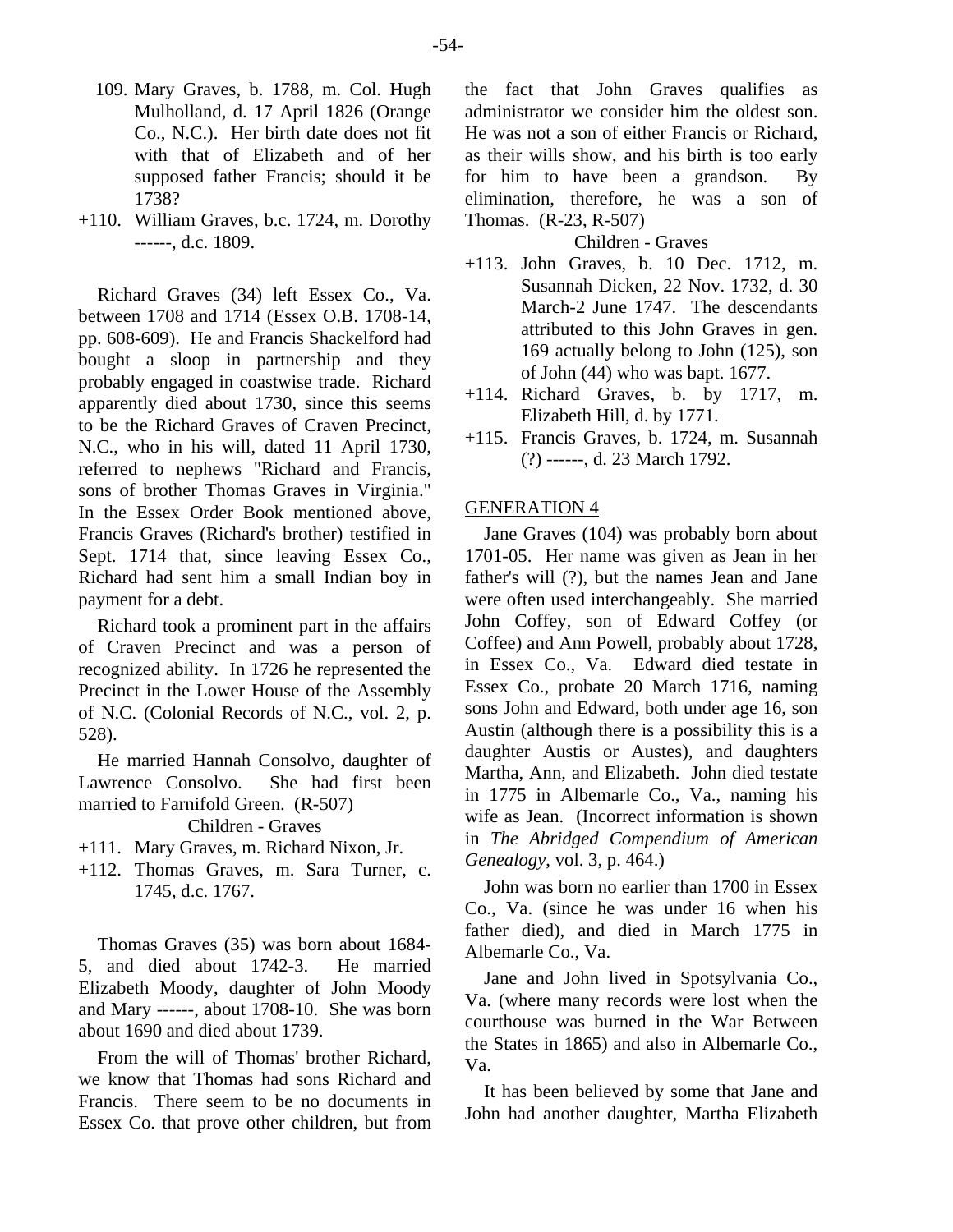- 109. Mary Graves, b. 1788, m. Col. Hugh Mulholland, d. 17 April 1826 (Orange Co., N.C.). Her birth date does not fit with that of Elizabeth and of her supposed father Francis; should it be 1738?
- +110. William Graves, b.c. 1724, m. Dorothy ------, d.c. 1809.

Richard Graves (34) left Essex Co., Va. between 1708 and 1714 (Essex O.B. 1708-14, pp. 608-609). He and Francis Shackelford had bought a sloop in partnership and they probably engaged in coastwise trade. Richard apparently died about 1730, since this seems to be the Richard Graves of Craven Precinct, N.C., who in his will, dated 11 April 1730, referred to nephews "Richard and Francis, sons of brother Thomas Graves in Virginia." In the Essex Order Book mentioned above, Francis Graves (Richard's brother) testified in Sept. 1714 that, since leaving Essex Co., Richard had sent him a small Indian boy in payment for a debt.

Richard took a prominent part in the affairs of Craven Precinct and was a person of recognized ability. In 1726 he represented the Precinct in the Lower House of the Assembly of N.C. (Colonial Records of N.C., vol. 2, p. 528).

He married Hannah Consolvo, daughter of Lawrence Consolvo. She had first been married to Farnifold Green. (R-507)

Children - Graves

- +111. Mary Graves, m. Richard Nixon, Jr.
- +112. Thomas Graves, m. Sara Turner, c. 1745, d.c. 1767.

Thomas Graves (35) was born about 1684- 5, and died about 1742-3. He married Elizabeth Moody, daughter of John Moody and Mary ------, about 1708-10. She was born about 1690 and died about 1739.

From the will of Thomas' brother Richard, we know that Thomas had sons Richard and Francis. There seem to be no documents in Essex Co. that prove other children, but from the fact that John Graves qualifies as administrator we consider him the oldest son. He was not a son of either Francis or Richard, as their wills show, and his birth is too early for him to have been a grandson. By elimination, therefore, he was a son of Thomas. (R-23, R-507)

# Children - Graves

- +113. John Graves, b. 10 Dec. 1712, m. Susannah Dicken, 22 Nov. 1732, d. 30 March-2 June 1747. The descendants attributed to this John Graves in gen. 169 actually belong to John (125), son of John (44) who was bapt. 1677.
- +114. Richard Graves, b. by 1717, m. Elizabeth Hill, d. by 1771.
- +115. Francis Graves, b. 1724, m. Susannah (?) ------, d. 23 March 1792.

## GENERATION 4

Jane Graves (104) was probably born about 1701-05. Her name was given as Jean in her father's will (?), but the names Jean and Jane were often used interchangeably. She married John Coffey, son of Edward Coffey (or Coffee) and Ann Powell, probably about 1728, in Essex Co., Va. Edward died testate in Essex Co., probate 20 March 1716, naming sons John and Edward, both under age 16, son Austin (although there is a possibility this is a daughter Austis or Austes), and daughters Martha, Ann, and Elizabeth. John died testate in 1775 in Albemarle Co., Va., naming his wife as Jean. (Incorrect information is shown in *The Abridged Compendium of American Genealogy*, vol. 3, p. 464.)

John was born no earlier than 1700 in Essex Co., Va. (since he was under 16 when his father died), and died in March 1775 in Albemarle Co., Va.

Jane and John lived in Spotsylvania Co., Va. (where many records were lost when the courthouse was burned in the War Between the States in 1865) and also in Albemarle Co., Va.

It has been believed by some that Jane and John had another daughter, Martha Elizabeth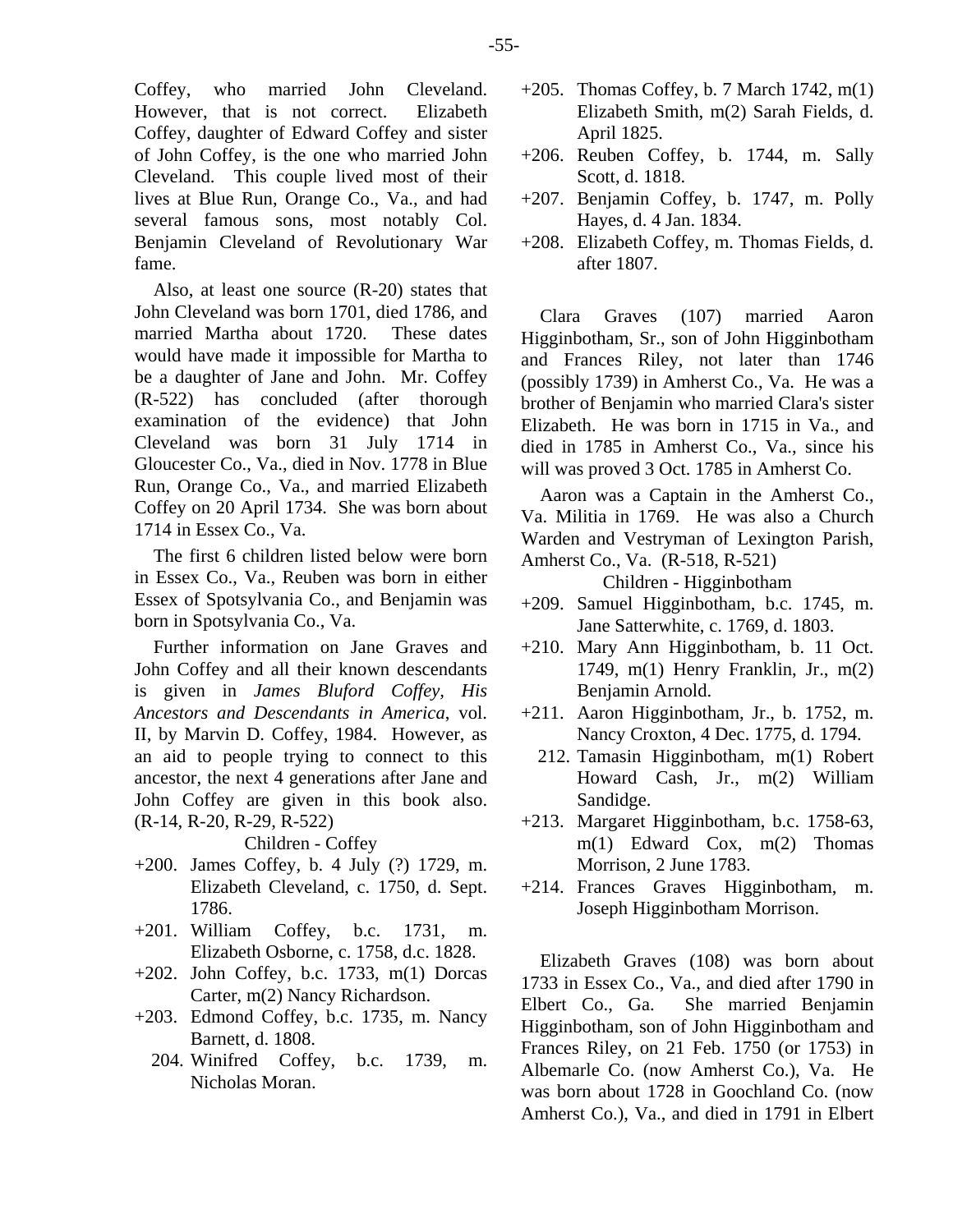Coffey, who married John Cleveland. However, that is not correct. Elizabeth Coffey, daughter of Edward Coffey and sister of John Coffey, is the one who married John Cleveland. This couple lived most of their lives at Blue Run, Orange Co., Va., and had several famous sons, most notably Col. Benjamin Cleveland of Revolutionary War fame.

Also, at least one source (R-20) states that John Cleveland was born 1701, died 1786, and married Martha about 1720. These dates would have made it impossible for Martha to be a daughter of Jane and John. Mr. Coffey (R-522) has concluded (after thorough examination of the evidence) that John Cleveland was born 31 July 1714 in Gloucester Co., Va., died in Nov. 1778 in Blue Run, Orange Co., Va., and married Elizabeth Coffey on 20 April 1734. She was born about 1714 in Essex Co., Va.

The first 6 children listed below were born in Essex Co., Va., Reuben was born in either Essex of Spotsylvania Co., and Benjamin was born in Spotsylvania Co., Va.

Further information on Jane Graves and John Coffey and all their known descendants is given in *James Bluford Coffey, His Ancestors and Descendants in America*, vol. II, by Marvin D. Coffey, 1984. However, as an aid to people trying to connect to this ancestor, the next 4 generations after Jane and John Coffey are given in this book also. (R-14, R-20, R-29, R-522)

- +200. James Coffey, b. 4 July (?) 1729, m. Elizabeth Cleveland, c. 1750, d. Sept. 1786.
- +201. William Coffey, b.c. 1731, m. Elizabeth Osborne, c. 1758, d.c. 1828.
- $+202$ . John Coffey, b.c. 1733, m(1) Dorcas Carter, m(2) Nancy Richardson.
- +203. Edmond Coffey, b.c. 1735, m. Nancy Barnett, d. 1808.
	- 204. Winifred Coffey, b.c. 1739, m. Nicholas Moran.
- $+205$ . Thomas Coffey, b. 7 March 1742, m(1) Elizabeth Smith, m(2) Sarah Fields, d. April 1825.
- +206. Reuben Coffey, b. 1744, m. Sally Scott, d. 1818.
- +207. Benjamin Coffey, b. 1747, m. Polly Hayes, d. 4 Jan. 1834.
- +208. Elizabeth Coffey, m. Thomas Fields, d. after 1807.

Clara Graves (107) married Aaron Higginbotham, Sr., son of John Higginbotham and Frances Riley, not later than 1746 (possibly 1739) in Amherst Co., Va. He was a brother of Benjamin who married Clara's sister Elizabeth. He was born in 1715 in Va., and died in 1785 in Amherst Co., Va., since his will was proved 3 Oct. 1785 in Amherst Co.

Aaron was a Captain in the Amherst Co., Va. Militia in 1769. He was also a Church Warden and Vestryman of Lexington Parish, Amherst Co., Va. (R-518, R-521)

Children - Higginbotham

- +209. Samuel Higginbotham, b.c. 1745, m. Jane Satterwhite, c. 1769, d. 1803.
- +210. Mary Ann Higginbotham, b. 11 Oct. 1749, m(1) Henry Franklin, Jr., m(2) Benjamin Arnold.
- +211. Aaron Higginbotham, Jr., b. 1752, m. Nancy Croxton, 4 Dec. 1775, d. 1794.
	- 212. Tamasin Higginbotham, m(1) Robert Howard Cash, Jr., m(2) William Sandidge.
- +213. Margaret Higginbotham, b.c. 1758-63, m(1) Edward Cox, m(2) Thomas Morrison, 2 June 1783.
- +214. Frances Graves Higginbotham, m. Joseph Higginbotham Morrison.

Elizabeth Graves (108) was born about 1733 in Essex Co., Va., and died after 1790 in Elbert Co., Ga. She married Benjamin Higginbotham, son of John Higginbotham and Frances Riley, on 21 Feb. 1750 (or 1753) in Albemarle Co. (now Amherst Co.), Va. He was born about 1728 in Goochland Co. (now Amherst Co.), Va., and died in 1791 in Elbert

Children - Coffey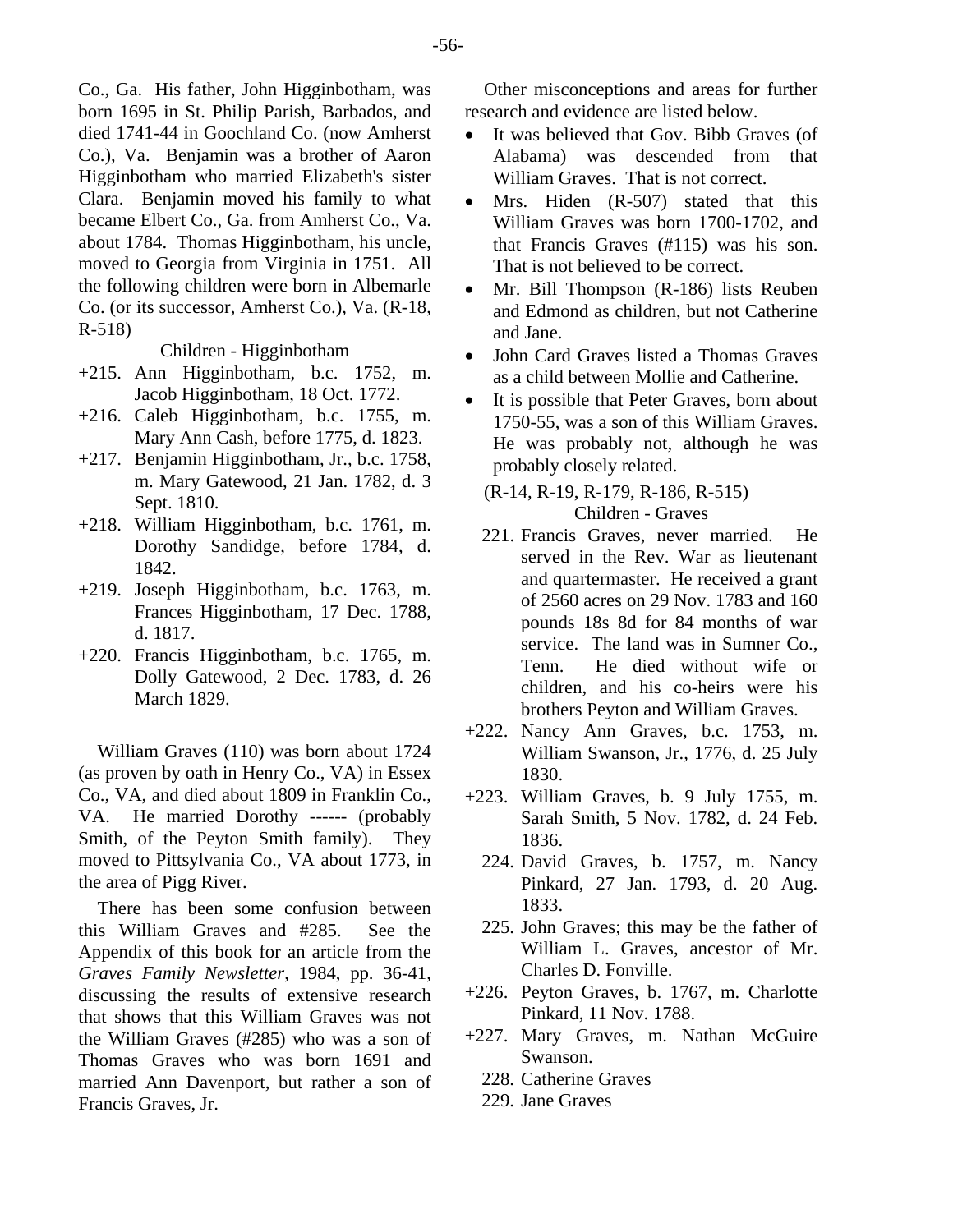Co., Ga. His father, John Higginbotham, was born 1695 in St. Philip Parish, Barbados, and died 1741-44 in Goochland Co. (now Amherst Co.), Va. Benjamin was a brother of Aaron Higginbotham who married Elizabeth's sister Clara. Benjamin moved his family to what became Elbert Co., Ga. from Amherst Co., Va. about 1784. Thomas Higginbotham, his uncle, moved to Georgia from Virginia in 1751. All the following children were born in Albemarle Co. (or its successor, Amherst Co.), Va. (R-18, R-518)

Children - Higginbotham

- +215. Ann Higginbotham, b.c. 1752, m. Jacob Higginbotham, 18 Oct. 1772.
- +216. Caleb Higginbotham, b.c. 1755, m. Mary Ann Cash, before 1775, d. 1823.
- +217. Benjamin Higginbotham, Jr., b.c. 1758, m. Mary Gatewood, 21 Jan. 1782, d. 3 Sept. 1810.
- +218. William Higginbotham, b.c. 1761, m. Dorothy Sandidge, before 1784, d. 1842.
- +219. Joseph Higginbotham, b.c. 1763, m. Frances Higginbotham, 17 Dec. 1788, d. 1817.
- +220. Francis Higginbotham, b.c. 1765, m. Dolly Gatewood, 2 Dec. 1783, d. 26 March 1829.

William Graves (110) was born about 1724 (as proven by oath in Henry Co., VA) in Essex Co., VA, and died about 1809 in Franklin Co., VA. He married Dorothy ------ (probably Smith, of the Peyton Smith family). They moved to Pittsylvania Co., VA about 1773, in the area of Pigg River.

There has been some confusion between this William Graves and #285. See the Appendix of this book for an article from the *Graves Family Newsletter*, 1984, pp. 36-41, discussing the results of extensive research that shows that this William Graves was not the William Graves (#285) who was a son of Thomas Graves who was born 1691 and married Ann Davenport, but rather a son of Francis Graves, Jr.

Other misconceptions and areas for further research and evidence are listed below.

- It was believed that Gov. Bibb Graves (of Alabama) was descended from that William Graves. That is not correct.
- Mrs. Hiden (R-507) stated that this William Graves was born 1700-1702, and that Francis Graves (#115) was his son. That is not believed to be correct.
- Mr. Bill Thompson (R-186) lists Reuben and Edmond as children, but not Catherine and Jane.
- John Card Graves listed a Thomas Graves as a child between Mollie and Catherine.
- It is possible that Peter Graves, born about 1750-55, was a son of this William Graves. He was probably not, although he was probably closely related.
	- (R-14, R-19, R-179, R-186, R-515) Children - Graves
	- 221. Francis Graves, never married. He served in the Rev. War as lieutenant and quartermaster. He received a grant of 2560 acres on 29 Nov. 1783 and 160 pounds 18s 8d for 84 months of war service. The land was in Sumner Co., Tenn. He died without wife or children, and his co-heirs were his brothers Peyton and William Graves.
- +222. Nancy Ann Graves, b.c. 1753, m. William Swanson, Jr., 1776, d. 25 July 1830.
- +223. William Graves, b. 9 July 1755, m. Sarah Smith, 5 Nov. 1782, d. 24 Feb. 1836.
	- 224. David Graves, b. 1757, m. Nancy Pinkard, 27 Jan. 1793, d. 20 Aug. 1833.
	- 225. John Graves; this may be the father of William L. Graves, ancestor of Mr. Charles D. Fonville.
- +226. Peyton Graves, b. 1767, m. Charlotte Pinkard, 11 Nov. 1788.
- +227. Mary Graves, m. Nathan McGuire Swanson.
	- 228. Catherine Graves
	- 229. Jane Graves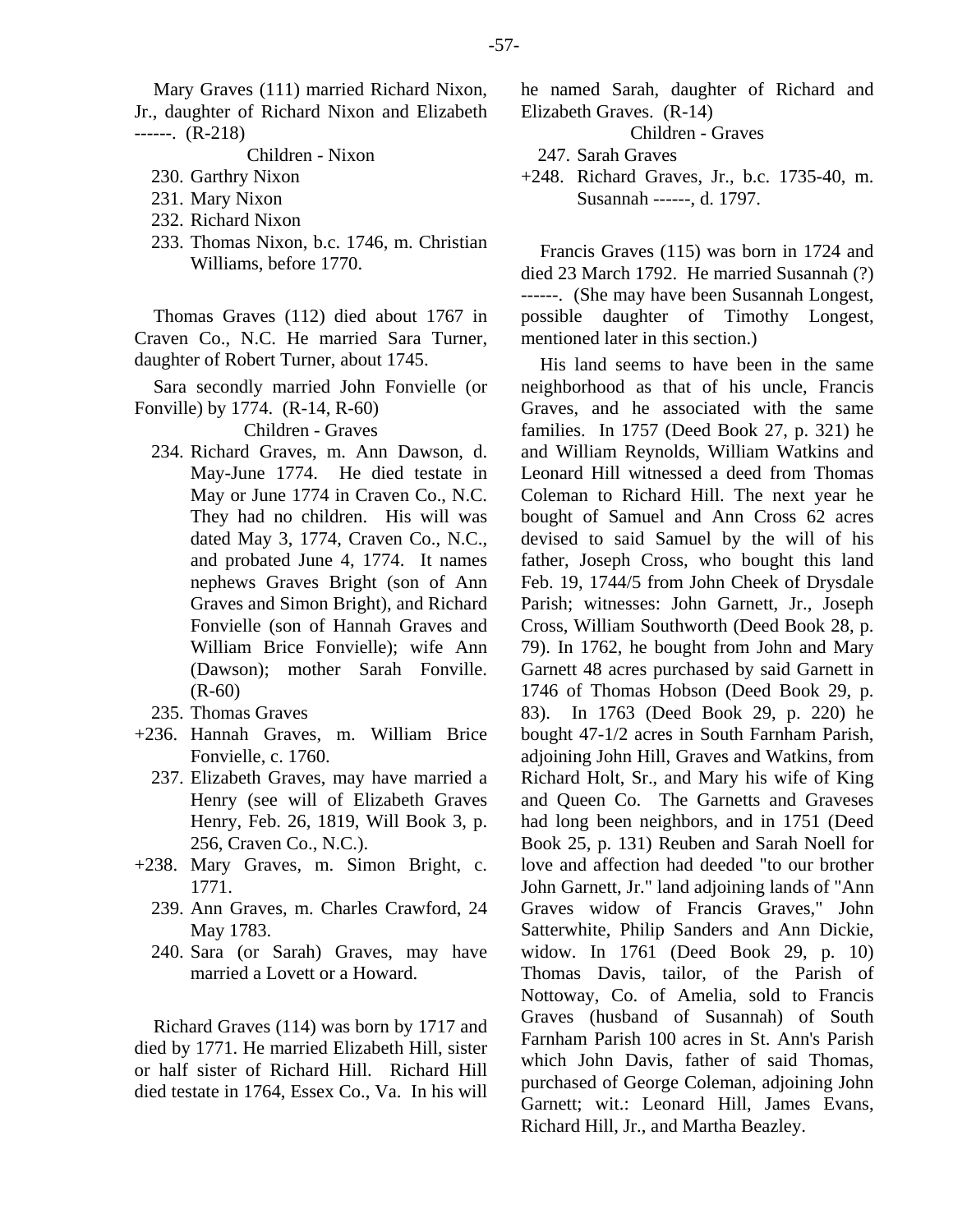## Children - Nixon

- 230. Garthry Nixon
- 231. Mary Nixon
- 232. Richard Nixon
- 233. Thomas Nixon, b.c. 1746, m. Christian Williams, before 1770.

Thomas Graves (112) died about 1767 in Craven Co., N.C. He married Sara Turner, daughter of Robert Turner, about 1745.

Sara secondly married John Fonvielle (or Fonville) by 1774. (R-14, R-60)

Children - Graves

- 234. Richard Graves, m. Ann Dawson, d. May-June 1774. He died testate in May or June 1774 in Craven Co., N.C. They had no children. His will was dated May 3, 1774, Craven Co., N.C., and probated June 4, 1774. It names nephews Graves Bright (son of Ann Graves and Simon Bright), and Richard Fonvielle (son of Hannah Graves and William Brice Fonvielle); wife Ann (Dawson); mother Sarah Fonville. (R-60)
- 235. Thomas Graves
- +236. Hannah Graves, m. William Brice Fonvielle, c. 1760.
	- 237. Elizabeth Graves, may have married a Henry (see will of Elizabeth Graves Henry, Feb. 26, 1819, Will Book 3, p. 256, Craven Co., N.C.).
- +238. Mary Graves, m. Simon Bright, c. 1771.
	- 239. Ann Graves, m. Charles Crawford, 24 May 1783.
	- 240. Sara (or Sarah) Graves, may have married a Lovett or a Howard.

Richard Graves (114) was born by 1717 and died by 1771. He married Elizabeth Hill, sister or half sister of Richard Hill. Richard Hill died testate in 1764, Essex Co., Va. In his will he named Sarah, daughter of Richard and Elizabeth Graves. (R-14)

Children - Graves

- 247. Sarah Graves
- +248. Richard Graves, Jr., b.c. 1735-40, m. Susannah ------, d. 1797.

Francis Graves (115) was born in 1724 and died 23 March 1792. He married Susannah (?) ------. (She may have been Susannah Longest, possible daughter of Timothy Longest, mentioned later in this section.)

His land seems to have been in the same neighborhood as that of his uncle, Francis Graves, and he associated with the same families. In 1757 (Deed Book 27, p. 321) he and William Reynolds, William Watkins and Leonard Hill witnessed a deed from Thomas Coleman to Richard Hill. The next year he bought of Samuel and Ann Cross 62 acres devised to said Samuel by the will of his father, Joseph Cross, who bought this land Feb. 19, 1744/5 from John Cheek of Drysdale Parish; witnesses: John Garnett, Jr., Joseph Cross, William Southworth (Deed Book 28, p. 79). In 1762, he bought from John and Mary Garnett 48 acres purchased by said Garnett in 1746 of Thomas Hobson (Deed Book 29, p. 83). In 1763 (Deed Book 29, p. 220) he bought 47-1/2 acres in South Farnham Parish, adjoining John Hill, Graves and Watkins, from Richard Holt, Sr., and Mary his wife of King and Queen Co. The Garnetts and Graveses had long been neighbors, and in 1751 (Deed Book 25, p. 131) Reuben and Sarah Noell for love and affection had deeded "to our brother John Garnett, Jr." land adjoining lands of "Ann Graves widow of Francis Graves," John Satterwhite, Philip Sanders and Ann Dickie, widow. In 1761 (Deed Book 29, p. 10) Thomas Davis, tailor, of the Parish of Nottoway, Co. of Amelia, sold to Francis Graves (husband of Susannah) of South Farnham Parish 100 acres in St. Ann's Parish which John Davis, father of said Thomas, purchased of George Coleman, adjoining John Garnett; wit.: Leonard Hill, James Evans, Richard Hill, Jr., and Martha Beazley.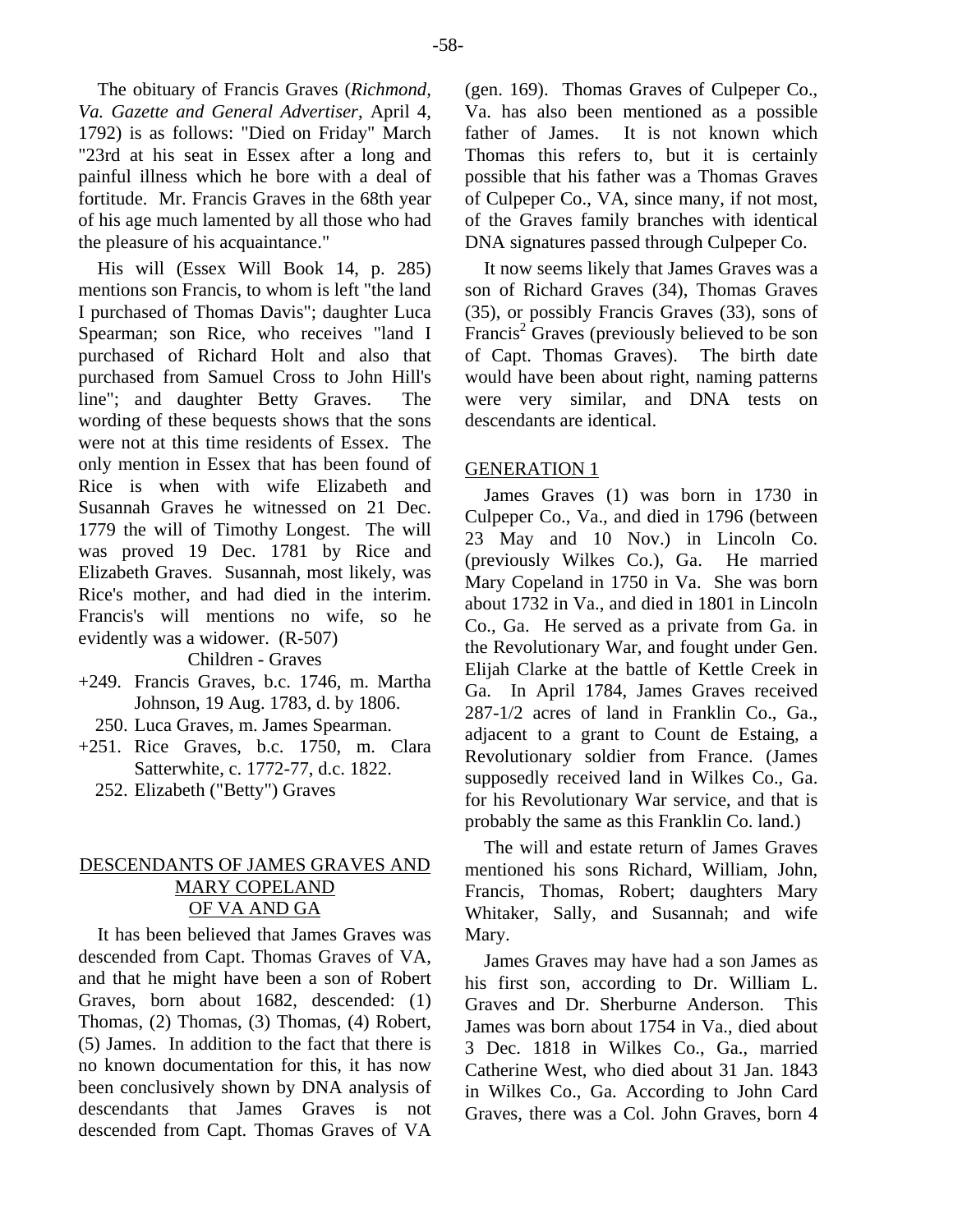The obituary of Francis Graves (*Richmond, Va. Gazette and General Advertiser*, April 4, 1792) is as follows: "Died on Friday" March "23rd at his seat in Essex after a long and painful illness which he bore with a deal of fortitude. Mr. Francis Graves in the 68th year of his age much lamented by all those who had the pleasure of his acquaintance."

His will (Essex Will Book 14, p. 285) mentions son Francis, to whom is left "the land I purchased of Thomas Davis"; daughter Luca Spearman; son Rice, who receives "land I purchased of Richard Holt and also that purchased from Samuel Cross to John Hill's line"; and daughter Betty Graves. The wording of these bequests shows that the sons were not at this time residents of Essex. The only mention in Essex that has been found of Rice is when with wife Elizabeth and Susannah Graves he witnessed on 21 Dec. 1779 the will of Timothy Longest. The will was proved 19 Dec. 1781 by Rice and Elizabeth Graves. Susannah, most likely, was Rice's mother, and had died in the interim. Francis's will mentions no wife, so he evidently was a widower. (R-507)

Children - Graves

+249. Francis Graves, b.c. 1746, m. Martha Johnson, 19 Aug. 1783, d. by 1806.

250. Luca Graves, m. James Spearman.

+251. Rice Graves, b.c. 1750, m. Clara Satterwhite, c. 1772-77, d.c. 1822.

252. Elizabeth ("Betty") Graves

# DESCENDANTS OF JAMES GRAVES AND MARY COPELAND OF VA AND GA

It has been believed that James Graves was descended from Capt. Thomas Graves of VA, and that he might have been a son of Robert Graves, born about 1682, descended: (1) Thomas, (2) Thomas, (3) Thomas, (4) Robert, (5) James. In addition to the fact that there is no known documentation for this, it has now been conclusively shown by DNA analysis of descendants that James Graves is not descended from Capt. Thomas Graves of VA (gen. 169). Thomas Graves of Culpeper Co., Va. has also been mentioned as a possible father of James. It is not known which Thomas this refers to, but it is certainly possible that his father was a Thomas Graves of Culpeper Co., VA, since many, if not most, of the Graves family branches with identical DNA signatures passed through Culpeper Co.

It now seems likely that James Graves was a son of Richard Graves (34), Thomas Graves (35), or possibly Francis Graves (33), sons of Francis<sup>2</sup> Graves (previously believed to be son of Capt. Thomas Graves). The birth date would have been about right, naming patterns were very similar, and DNA tests on descendants are identical.

# GENERATION 1

James Graves (1) was born in 1730 in Culpeper Co., Va., and died in 1796 (between 23 May and 10 Nov.) in Lincoln Co. (previously Wilkes Co.), Ga. He married Mary Copeland in 1750 in Va. She was born about 1732 in Va., and died in 1801 in Lincoln Co., Ga. He served as a private from Ga. in the Revolutionary War, and fought under Gen. Elijah Clarke at the battle of Kettle Creek in Ga. In April 1784, James Graves received 287-1/2 acres of land in Franklin Co., Ga., adjacent to a grant to Count de Estaing, a Revolutionary soldier from France. (James supposedly received land in Wilkes Co., Ga. for his Revolutionary War service, and that is probably the same as this Franklin Co. land.)

The will and estate return of James Graves mentioned his sons Richard, William, John, Francis, Thomas, Robert; daughters Mary Whitaker, Sally, and Susannah; and wife Mary.

James Graves may have had a son James as his first son, according to Dr. William L. Graves and Dr. Sherburne Anderson. This James was born about 1754 in Va., died about 3 Dec. 1818 in Wilkes Co., Ga., married Catherine West, who died about 31 Jan. 1843 in Wilkes Co., Ga. According to John Card Graves, there was a Col. John Graves, born 4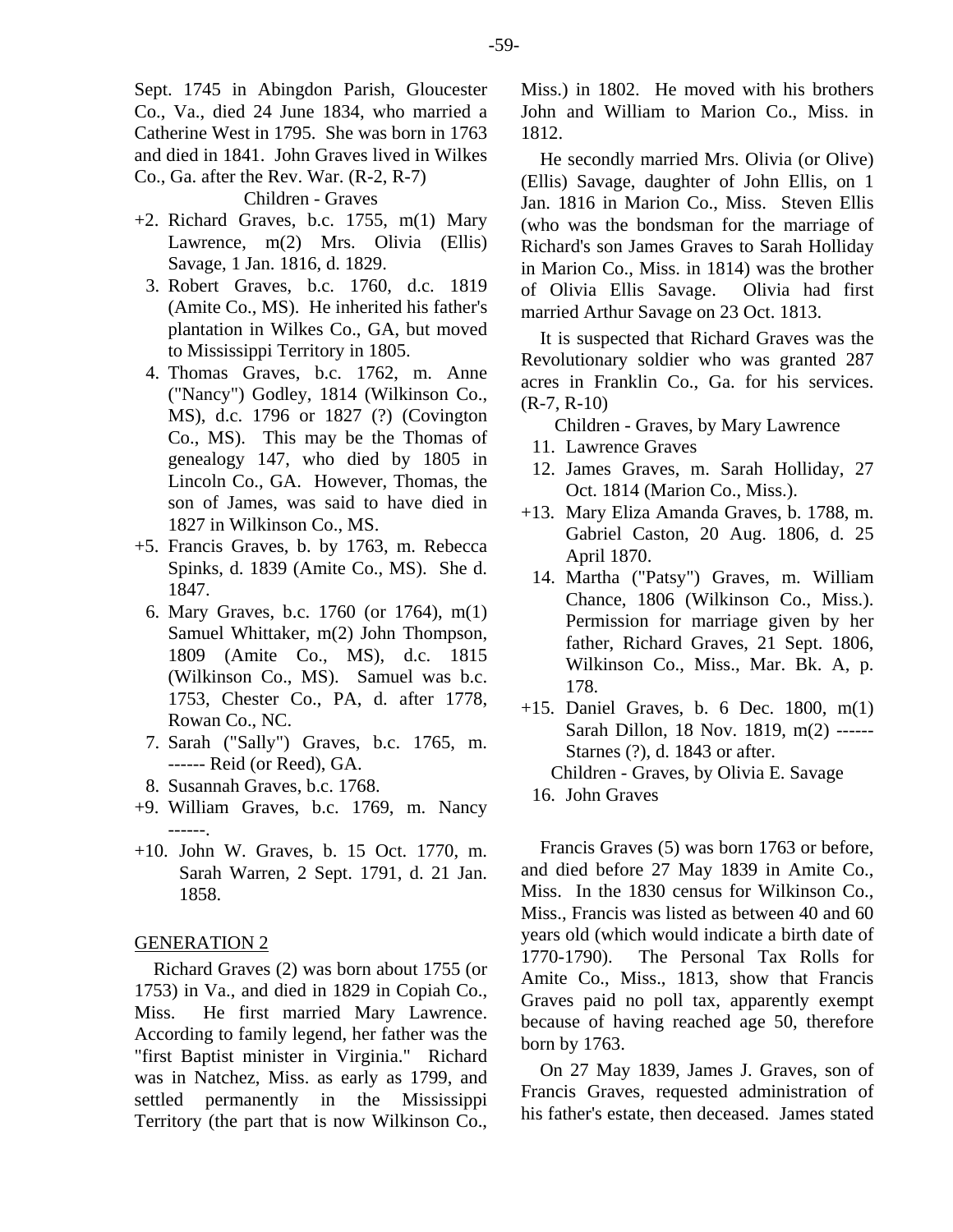Sept. 1745 in Abingdon Parish, Gloucester Co., Va., died 24 June 1834, who married a Catherine West in 1795. She was born in 1763 and died in 1841. John Graves lived in Wilkes Co., Ga. after the Rev. War. (R-2, R-7)

Children - Graves

- +2. Richard Graves, b.c. 1755, m(1) Mary Lawrence, m(2) Mrs. Olivia (Ellis) Savage, 1 Jan. 1816, d. 1829.
	- 3. Robert Graves, b.c. 1760, d.c. 1819 (Amite Co., MS). He inherited his father's plantation in Wilkes Co., GA, but moved to Mississippi Territory in 1805.
	- 4. Thomas Graves, b.c. 1762, m. Anne ("Nancy") Godley, 1814 (Wilkinson Co., MS), d.c. 1796 or 1827 (?) (Covington Co., MS). This may be the Thomas of genealogy 147, who died by 1805 in Lincoln Co., GA. However, Thomas, the son of James, was said to have died in 1827 in Wilkinson Co., MS.
- +5. Francis Graves, b. by 1763, m. Rebecca Spinks, d. 1839 (Amite Co., MS). She d. 1847.
	- 6. Mary Graves, b.c. 1760 (or 1764), m(1) Samuel Whittaker, m(2) John Thompson, 1809 (Amite Co., MS), d.c. 1815 (Wilkinson Co., MS). Samuel was b.c. 1753, Chester Co., PA, d. after 1778, Rowan Co., NC.
	- 7. Sarah ("Sally") Graves, b.c. 1765, m. ------ Reid (or Reed), GA.
	- 8. Susannah Graves, b.c. 1768.
- +9. William Graves, b.c. 1769, m. Nancy ------.
- +10. John W. Graves, b. 15 Oct. 1770, m. Sarah Warren, 2 Sept. 1791, d. 21 Jan. 1858.

## GENERATION 2

Richard Graves (2) was born about 1755 (or 1753) in Va., and died in 1829 in Copiah Co., Miss. He first married Mary Lawrence. According to family legend, her father was the "first Baptist minister in Virginia." Richard was in Natchez, Miss. as early as 1799, and settled permanently in the Mississippi Territory (the part that is now Wilkinson Co., Miss.) in 1802. He moved with his brothers John and William to Marion Co., Miss. in 1812.

He secondly married Mrs. Olivia (or Olive) (Ellis) Savage, daughter of John Ellis, on 1 Jan. 1816 in Marion Co., Miss. Steven Ellis (who was the bondsman for the marriage of Richard's son James Graves to Sarah Holliday in Marion Co., Miss. in 1814) was the brother of Olivia Ellis Savage. Olivia had first married Arthur Savage on 23 Oct. 1813.

It is suspected that Richard Graves was the Revolutionary soldier who was granted 287 acres in Franklin Co., Ga. for his services. (R-7, R-10)

- Children Graves, by Mary Lawrence
- 11. Lawrence Graves
- 12. James Graves, m. Sarah Holliday, 27 Oct. 1814 (Marion Co., Miss.).
- +13. Mary Eliza Amanda Graves, b. 1788, m. Gabriel Caston, 20 Aug. 1806, d. 25 April 1870.
- 14. Martha ("Patsy") Graves, m. William Chance, 1806 (Wilkinson Co., Miss.). Permission for marriage given by her father, Richard Graves, 21 Sept. 1806, Wilkinson Co., Miss., Mar. Bk. A, p. 178.
- +15. Daniel Graves, b. 6 Dec. 1800, m(1) Sarah Dillon, 18 Nov. 1819, m(2) ------ Starnes (?), d. 1843 or after. Children - Graves, by Olivia E. Savage
	- 16. John Graves

Francis Graves (5) was born 1763 or before, and died before 27 May 1839 in Amite Co., Miss. In the 1830 census for Wilkinson Co., Miss., Francis was listed as between 40 and 60 years old (which would indicate a birth date of 1770-1790). The Personal Tax Rolls for Amite Co., Miss., 1813, show that Francis Graves paid no poll tax, apparently exempt because of having reached age 50, therefore born by 1763.

On 27 May 1839, James J. Graves, son of Francis Graves, requested administration of his father's estate, then deceased. James stated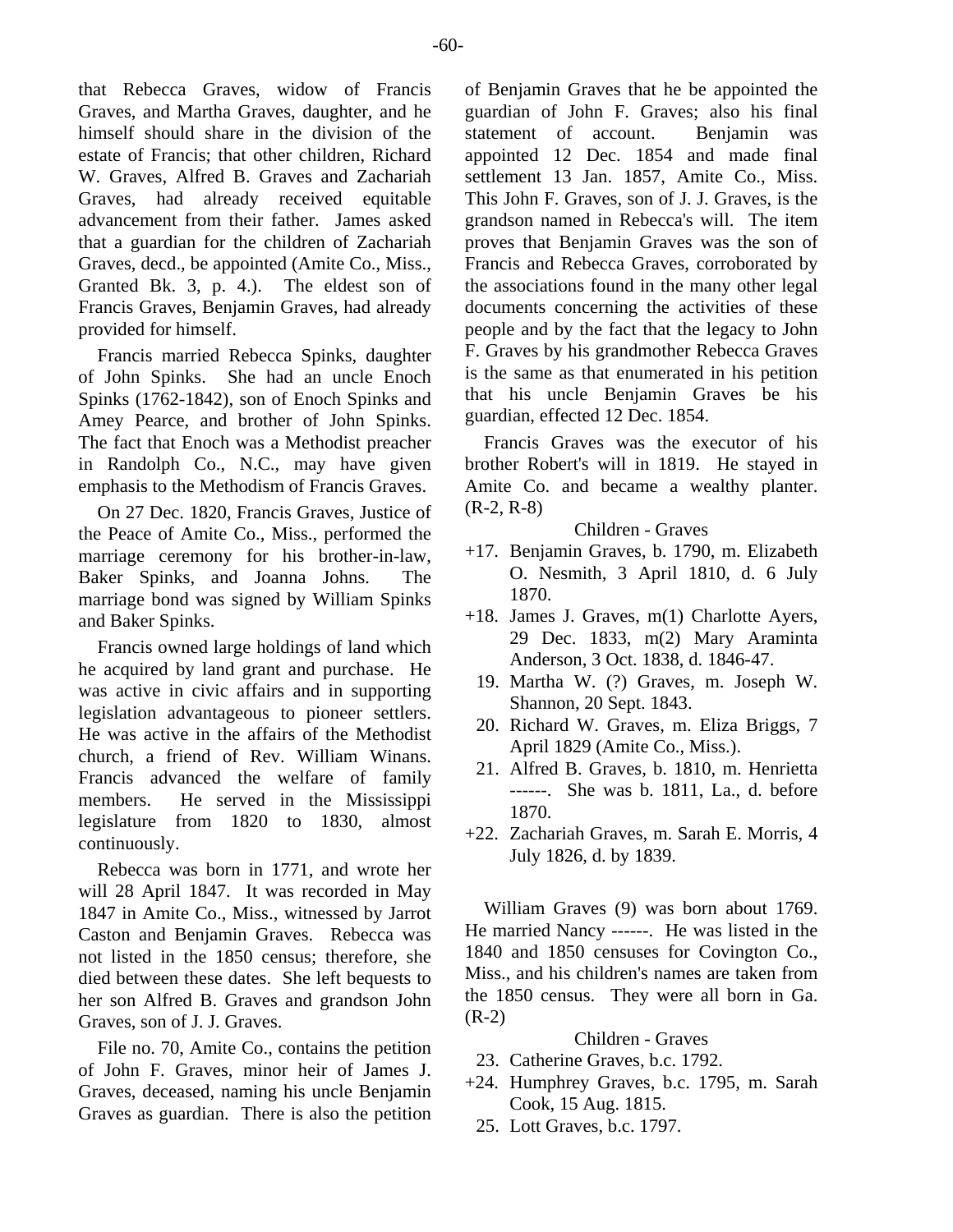that Rebecca Graves, widow of Francis Graves, and Martha Graves, daughter, and he himself should share in the division of the estate of Francis; that other children, Richard W. Graves, Alfred B. Graves and Zachariah Graves, had already received equitable advancement from their father. James asked that a guardian for the children of Zachariah Graves, decd., be appointed (Amite Co., Miss., Granted Bk. 3, p. 4.). The eldest son of Francis Graves, Benjamin Graves, had already provided for himself.

Francis married Rebecca Spinks, daughter of John Spinks. She had an uncle Enoch Spinks (1762-1842), son of Enoch Spinks and Amey Pearce, and brother of John Spinks. The fact that Enoch was a Methodist preacher in Randolph Co., N.C., may have given emphasis to the Methodism of Francis Graves.

On 27 Dec. 1820, Francis Graves, Justice of the Peace of Amite Co., Miss., performed the marriage ceremony for his brother-in-law, Baker Spinks, and Joanna Johns. The marriage bond was signed by William Spinks and Baker Spinks.

Francis owned large holdings of land which he acquired by land grant and purchase. He was active in civic affairs and in supporting legislation advantageous to pioneer settlers. He was active in the affairs of the Methodist church, a friend of Rev. William Winans. Francis advanced the welfare of family members. He served in the Mississippi legislature from 1820 to 1830, almost continuously.

Rebecca was born in 1771, and wrote her will 28 April 1847. It was recorded in May 1847 in Amite Co., Miss., witnessed by Jarrot Caston and Benjamin Graves. Rebecca was not listed in the 1850 census; therefore, she died between these dates. She left bequests to her son Alfred B. Graves and grandson John Graves, son of J. J. Graves.

File no. 70, Amite Co., contains the petition of John F. Graves, minor heir of James J. Graves, deceased, naming his uncle Benjamin Graves as guardian. There is also the petition of Benjamin Graves that he be appointed the guardian of John F. Graves; also his final statement of account. Benjamin was appointed 12 Dec. 1854 and made final settlement 13 Jan. 1857, Amite Co., Miss. This John F. Graves, son of J. J. Graves, is the grandson named in Rebecca's will. The item proves that Benjamin Graves was the son of Francis and Rebecca Graves, corroborated by the associations found in the many other legal documents concerning the activities of these people and by the fact that the legacy to John F. Graves by his grandmother Rebecca Graves is the same as that enumerated in his petition that his uncle Benjamin Graves be his guardian, effected 12 Dec. 1854.

Francis Graves was the executor of his brother Robert's will in 1819. He stayed in Amite Co. and became a wealthy planter. (R-2, R-8)

Children - Graves

- +17. Benjamin Graves, b. 1790, m. Elizabeth O. Nesmith, 3 April 1810, d. 6 July 1870.
- +18. James J. Graves, m(1) Charlotte Ayers, 29 Dec. 1833, m(2) Mary Araminta Anderson, 3 Oct. 1838, d. 1846-47.
	- 19. Martha W. (?) Graves, m. Joseph W. Shannon, 20 Sept. 1843.
	- 20. Richard W. Graves, m. Eliza Briggs, 7 April 1829 (Amite Co., Miss.).
	- 21. Alfred B. Graves, b. 1810, m. Henrietta ------. She was b. 1811, La., d. before 1870.
- +22. Zachariah Graves, m. Sarah E. Morris, 4 July 1826, d. by 1839.

William Graves (9) was born about 1769. He married Nancy ------. He was listed in the 1840 and 1850 censuses for Covington Co., Miss., and his children's names are taken from the 1850 census. They were all born in Ga. (R-2)

- 23. Catherine Graves, b.c. 1792.
- +24. Humphrey Graves, b.c. 1795, m. Sarah Cook, 15 Aug. 1815.
	- 25. Lott Graves, b.c. 1797.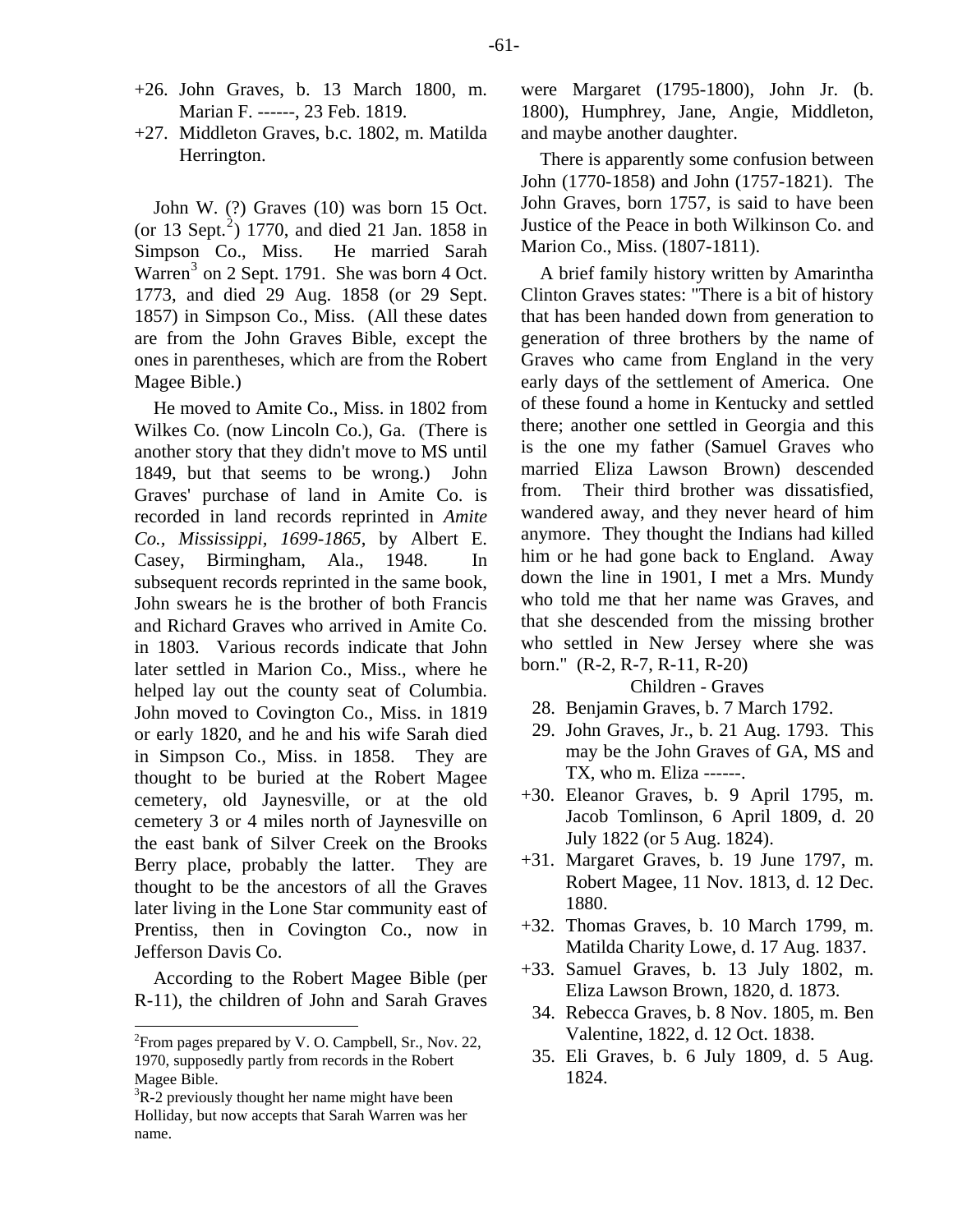- +26. John Graves, b. 13 March 1800, m. Marian F. ------, 23 Feb. 1819.
- +27. Middleton Graves, b.c. 1802, m. Matilda Herrington.

John W. (?) Graves (10) was born 15 Oct. (or 13 Sept.<sup>[2](#page-12-0)</sup>) 1770, and died 21 Jan. 1858 in Simpson Co., Miss. He married Sarah Warren<sup>[3](#page-12-1)</sup> on 2 Sept. 1791. She was born 4 Oct. 1773, and died 29 Aug. 1858 (or 29 Sept. 1857) in Simpson Co., Miss. (All these dates are from the John Graves Bible, except the ones in parentheses, which are from the Robert Magee Bible.)

He moved to Amite Co., Miss. in 1802 from Wilkes Co. (now Lincoln Co.), Ga. (There is another story that they didn't move to MS until 1849, but that seems to be wrong.) John Graves' purchase of land in Amite Co. is recorded in land records reprinted in *Amite Co., Mississippi, 1699-1865*, by Albert E. Casey, Birmingham, Ala., 1948. In subsequent records reprinted in the same book, John swears he is the brother of both Francis and Richard Graves who arrived in Amite Co. in 1803. Various records indicate that John later settled in Marion Co., Miss., where he helped lay out the county seat of Columbia. John moved to Covington Co., Miss. in 1819 or early 1820, and he and his wife Sarah died in Simpson Co., Miss. in 1858. They are thought to be buried at the Robert Magee cemetery, old Jaynesville, or at the old cemetery 3 or 4 miles north of Jaynesville on the east bank of Silver Creek on the Brooks Berry place, probably the latter. They are thought to be the ancestors of all the Graves later living in the Lone Star community east of Prentiss, then in Covington Co., now in Jefferson Davis Co.

According to the Robert Magee Bible (per R-11), the children of John and Sarah Graves were Margaret (1795-1800), John Jr. (b. 1800), Humphrey, Jane, Angie, Middleton, and maybe another daughter.

There is apparently some confusion between John (1770-1858) and John (1757-1821). The John Graves, born 1757, is said to have been Justice of the Peace in both Wilkinson Co. and Marion Co., Miss. (1807-1811).

A brief family history written by Amarintha Clinton Graves states: "There is a bit of history that has been handed down from generation to generation of three brothers by the name of Graves who came from England in the very early days of the settlement of America. One of these found a home in Kentucky and settled there; another one settled in Georgia and this is the one my father (Samuel Graves who married Eliza Lawson Brown) descended from. Their third brother was dissatisfied, wandered away, and they never heard of him anymore. They thought the Indians had killed him or he had gone back to England. Away down the line in 1901, I met a Mrs. Mundy who told me that her name was Graves, and that she descended from the missing brother who settled in New Jersey where she was born." (R-2, R-7, R-11, R-20)

- 28. Benjamin Graves, b. 7 March 1792.
- 29. John Graves, Jr., b. 21 Aug. 1793. This may be the John Graves of GA, MS and TX, who m. Eliza ------.
- +30. Eleanor Graves, b. 9 April 1795, m. Jacob Tomlinson, 6 April 1809, d. 20 July 1822 (or 5 Aug. 1824).
- +31. Margaret Graves, b. 19 June 1797, m. Robert Magee, 11 Nov. 1813, d. 12 Dec. 1880.
- +32. Thomas Graves, b. 10 March 1799, m. Matilda Charity Lowe, d. 17 Aug. 1837.
- +33. Samuel Graves, b. 13 July 1802, m. Eliza Lawson Brown, 1820, d. 1873.
- 34. Rebecca Graves, b. 8 Nov. 1805, m. Ben Valentine, 1822, d. 12 Oct. 1838.
- 35. Eli Graves, b. 6 July 1809, d. 5 Aug. 1824.

<span id="page-12-0"></span> ${}^{2}$ From pages prepared by V. O. Campbell, Sr., Nov. 22, 1970, supposedly partly from records in the Robert Magee Bible.

<span id="page-12-1"></span> ${}^{3}R-2$  previously thought her name might have been Holliday, but now accepts that Sarah Warren was her name.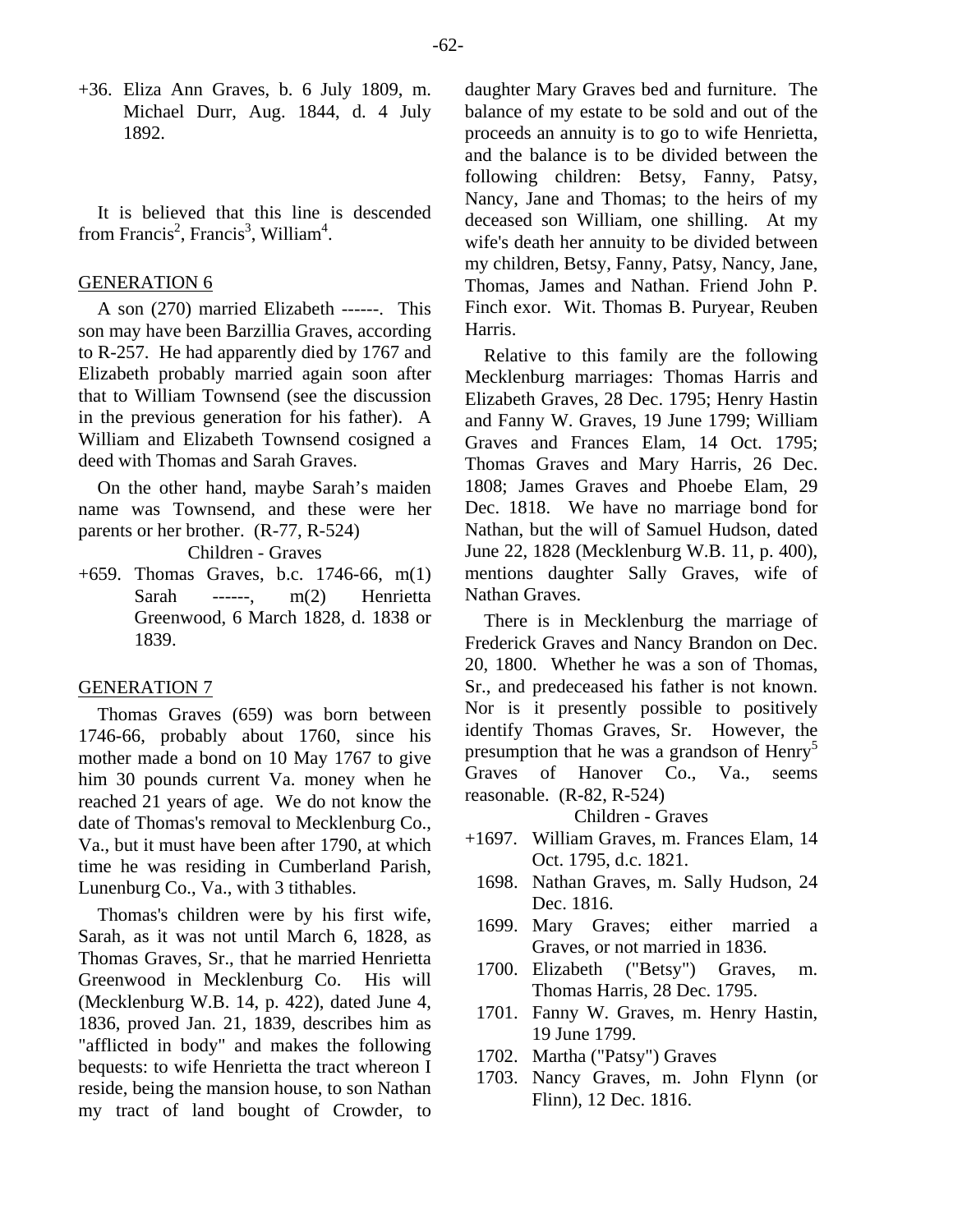+36. Eliza Ann Graves, b. 6 July 1809, m. Michael Durr, Aug. 1844, d. 4 July 1892.

It is believed that this line is descended from Francis<sup>2</sup>, Francis<sup>3</sup>, William<sup>4</sup>.

## GENERATION 6

A son (270) married Elizabeth ------. This son may have been Barzillia Graves, according to R-257. He had apparently died by 1767 and Elizabeth probably married again soon after that to William Townsend (see the discussion in the previous generation for his father). A William and Elizabeth Townsend cosigned a deed with Thomas and Sarah Graves.

On the other hand, maybe Sarah's maiden name was Townsend, and these were her parents or her brother. (R-77, R-524)

Children - Graves

+659. Thomas Graves, b.c. 1746-66, m(1) Sarah ------, m(2) Henrietta Greenwood, 6 March 1828, d. 1838 or 1839.

## GENERATION 7

Thomas Graves (659) was born between 1746-66, probably about 1760, since his mother made a bond on 10 May 1767 to give him 30 pounds current Va. money when he reached 21 years of age. We do not know the date of Thomas's removal to Mecklenburg Co., Va., but it must have been after 1790, at which time he was residing in Cumberland Parish, Lunenburg Co., Va., with 3 tithables.

Thomas's children were by his first wife, Sarah, as it was not until March 6, 1828, as Thomas Graves, Sr., that he married Henrietta Greenwood in Mecklenburg Co. His will (Mecklenburg W.B. 14, p. 422), dated June 4, 1836, proved Jan. 21, 1839, describes him as "afflicted in body" and makes the following bequests: to wife Henrietta the tract whereon I reside, being the mansion house, to son Nathan my tract of land bought of Crowder, to

daughter Mary Graves bed and furniture. The balance of my estate to be sold and out of the proceeds an annuity is to go to wife Henrietta, and the balance is to be divided between the following children: Betsy, Fanny, Patsy, Nancy, Jane and Thomas; to the heirs of my deceased son William, one shilling. At my wife's death her annuity to be divided between my children, Betsy, Fanny, Patsy, Nancy, Jane, Thomas, James and Nathan. Friend John P. Finch exor. Wit. Thomas B. Puryear, Reuben Harris.

Relative to this family are the following Mecklenburg marriages: Thomas Harris and Elizabeth Graves, 28 Dec. 1795; Henry Hastin and Fanny W. Graves, 19 June 1799; William Graves and Frances Elam, 14 Oct. 1795; Thomas Graves and Mary Harris, 26 Dec. 1808; James Graves and Phoebe Elam, 29 Dec. 1818. We have no marriage bond for Nathan, but the will of Samuel Hudson, dated June 22, 1828 (Mecklenburg W.B. 11, p. 400), mentions daughter Sally Graves, wife of Nathan Graves.

There is in Mecklenburg the marriage of Frederick Graves and Nancy Brandon on Dec. 20, 1800. Whether he was a son of Thomas, Sr., and predeceased his father is not known. Nor is it presently possible to positively identify Thomas Graves, Sr. However, the presumption that he was a grandson of Henry<sup>5</sup> Graves of Hanover Co., Va., seems reasonable. (R-82, R-524)

- +1697. William Graves, m. Frances Elam, 14 Oct. 1795, d.c. 1821.
	- 1698. Nathan Graves, m. Sally Hudson, 24 Dec. 1816.
	- 1699. Mary Graves; either married a Graves, or not married in 1836.
	- 1700. Elizabeth ("Betsy") Graves, m. Thomas Harris, 28 Dec. 1795.
	- 1701. Fanny W. Graves, m. Henry Hastin, 19 June 1799.
	- 1702. Martha ("Patsy") Graves
	- 1703. Nancy Graves, m. John Flynn (or Flinn), 12 Dec. 1816.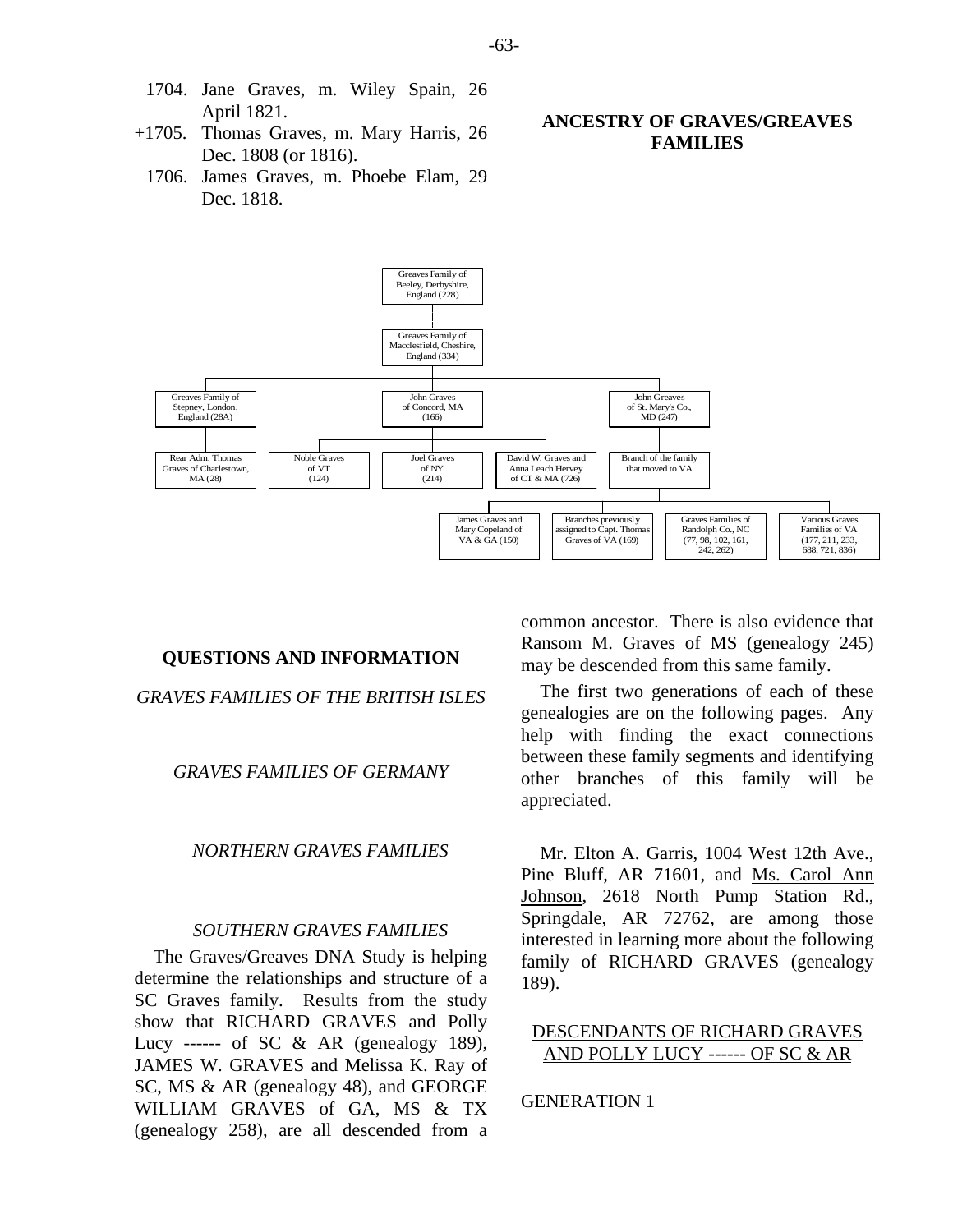- 1704. Jane Graves, m. Wiley Spain, 26 April 1821.
- +1705. Thomas Graves, m. Mary Harris, 26 Dec. 1808 (or 1816).
	- 1706. James Graves, m. Phoebe Elam, 29 Dec. 1818.

# **ANCESTRY OF GRAVES/GREAVES FAMILIES**



## **QUESTIONS AND INFORMATION**

*GRAVES FAMILIES OF THE BRITISH ISLES* 

#### *GRAVES FAMILIES OF GERMANY*

## *NORTHERN GRAVES FAMILIES*

#### *SOUTHERN GRAVES FAMILIES*

The Graves/Greaves DNA Study is helping determine the relationships and structure of a SC Graves family. Results from the study show that RICHARD GRAVES and Polly Lucy ------ of SC & AR (genealogy 189), JAMES W. GRAVES and Melissa K. Ray of SC, MS & AR (genealogy 48), and GEORGE WILLIAM GRAVES of GA, MS & TX (genealogy 258), are all descended from a common ancestor. There is also evidence that Ransom M. Graves of MS (genealogy 245) may be descended from this same family.

The first two generations of each of these genealogies are on the following pages. Any help with finding the exact connections between these family segments and identifying other branches of this family will be appreciated.

Mr. Elton A. Garris, 1004 West 12th Ave., Pine Bluff, AR 71601, and Ms. Carol Ann Johnson, 2618 North Pump Station Rd., Springdale, AR 72762, are among those interested in learning more about the following family of RICHARD GRAVES (genealogy 189).

## DESCENDANTS OF RICHARD GRAVES AND POLLY LUCY ------ OF SC & AR

#### GENERATION 1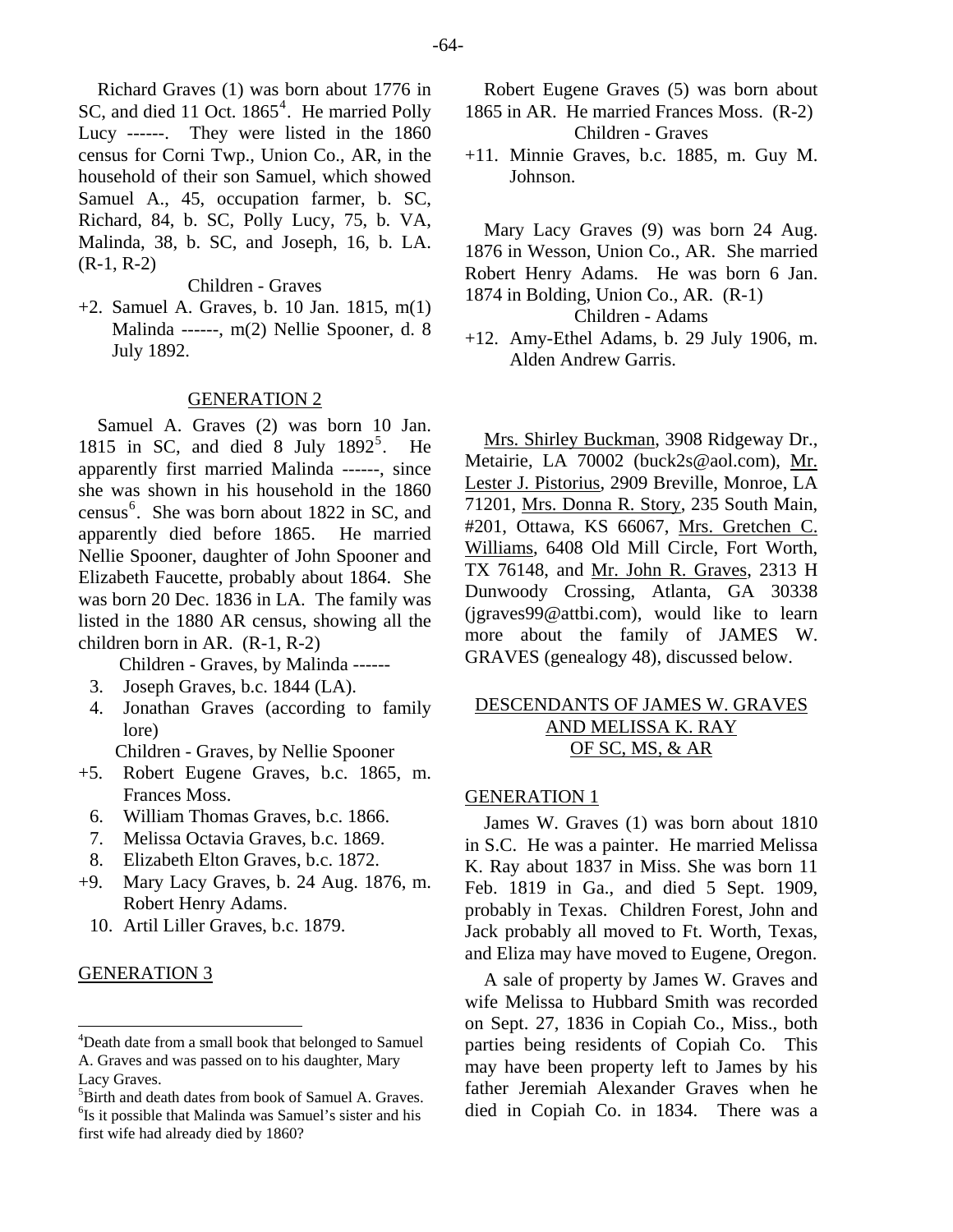Richard Graves (1) was born about 1776 in SC, and died 11 Oct. 1865<sup>[4](#page-15-0)</sup>. He married Polly Lucy ------. They were listed in the 1860 census for Corni Twp., Union Co., AR, in the household of their son Samuel, which showed Samuel A., 45, occupation farmer, b. SC, Richard, 84, b. SC, Polly Lucy, 75, b. VA, Malinda, 38, b. SC, and Joseph, 16, b. LA.  $(R-1, R-2)$ 

## Children - Graves

+2. Samuel A. Graves, b. 10 Jan. 1815, m(1) Malinda ------, m(2) Nellie Spooner, d. 8 July 1892.

#### GENERATION 2

Samuel A. Graves (2) was born 10 Jan. 181[5](#page-15-1) in SC, and died 8 July  $1892^5$ . He apparently first married Malinda ------, since she was shown in his household in the 1860 census<sup>[6](#page-15-2)</sup>. She was born about 1822 in SC, and apparently died before 1865. He married Nellie Spooner, daughter of John Spooner and Elizabeth Faucette, probably about 1864. She was born 20 Dec. 1836 in LA. The family was listed in the 1880 AR census, showing all the children born in AR. (R-1, R-2)

Children - Graves, by Malinda ------

- 3. Joseph Graves, b.c. 1844 (LA).
- 4. Jonathan Graves (according to family lore)

Children - Graves, by Nellie Spooner

- +5. Robert Eugene Graves, b.c. 1865, m. Frances Moss.
	- 6. William Thomas Graves, b.c. 1866.
	- 7. Melissa Octavia Graves, b.c. 1869.
	- 8. Elizabeth Elton Graves, b.c. 1872.
- +9. Mary Lacy Graves, b. 24 Aug. 1876, m. Robert Henry Adams.
	- 10. Artil Liller Graves, b.c. 1879.

## GENERATION 3

Robert Eugene Graves (5) was born about 1865 in AR. He married Frances Moss. (R-2) Children - Graves

+11. Minnie Graves, b.c. 1885, m. Guy M. Johnson.

Mary Lacy Graves (9) was born 24 Aug. 1876 in Wesson, Union Co., AR. She married Robert Henry Adams. He was born 6 Jan. 1874 in Bolding, Union Co., AR. (R-1)

Children - Adams

+12. Amy-Ethel Adams, b. 29 July 1906, m. Alden Andrew Garris.

Mrs. Shirley Buckman, 3908 Ridgeway Dr., Metairie, LA 70002 (buck2s@aol.com), Mr. Lester J. Pistorius, 2909 Breville, Monroe, LA 71201, Mrs. Donna R. Story, 235 South Main, #201, Ottawa, KS 66067, Mrs. Gretchen C. Williams, 6408 Old Mill Circle, Fort Worth, TX 76148, and Mr. John R. Graves, 2313 H Dunwoody Crossing, Atlanta, GA 30338 (jgraves99@attbi.com), would like to learn more about the family of JAMES W. GRAVES (genealogy 48), discussed below.

# DESCENDANTS OF JAMES W. GRAVES AND MELISSA K. RAY OF SC, MS, & AR

#### GENERATION 1

James W. Graves (1) was born about 1810 in S.C. He was a painter. He married Melissa K. Ray about 1837 in Miss. She was born 11 Feb. 1819 in Ga., and died 5 Sept. 1909, probably in Texas. Children Forest, John and Jack probably all moved to Ft. Worth, Texas, and Eliza may have moved to Eugene, Oregon.

A sale of property by James W. Graves and wife Melissa to Hubbard Smith was recorded on Sept. 27, 1836 in Copiah Co., Miss., both parties being residents of Copiah Co. This may have been property left to James by his father Jeremiah Alexander Graves when he died in Copiah Co. in 1834. There was a

<span id="page-15-0"></span><sup>&</sup>lt;sup>4</sup>Death date from a small book that belonged to Samuel A. Graves and was passed on to his daughter, Mary Lacy Graves.

<span id="page-15-2"></span><span id="page-15-1"></span><sup>&</sup>lt;sup>5</sup>Birth and death dates from book of Samuel A. Graves. <sup>6</sup>Is it possible that Malinda was Samuel's sister and his first wife had already died by 1860?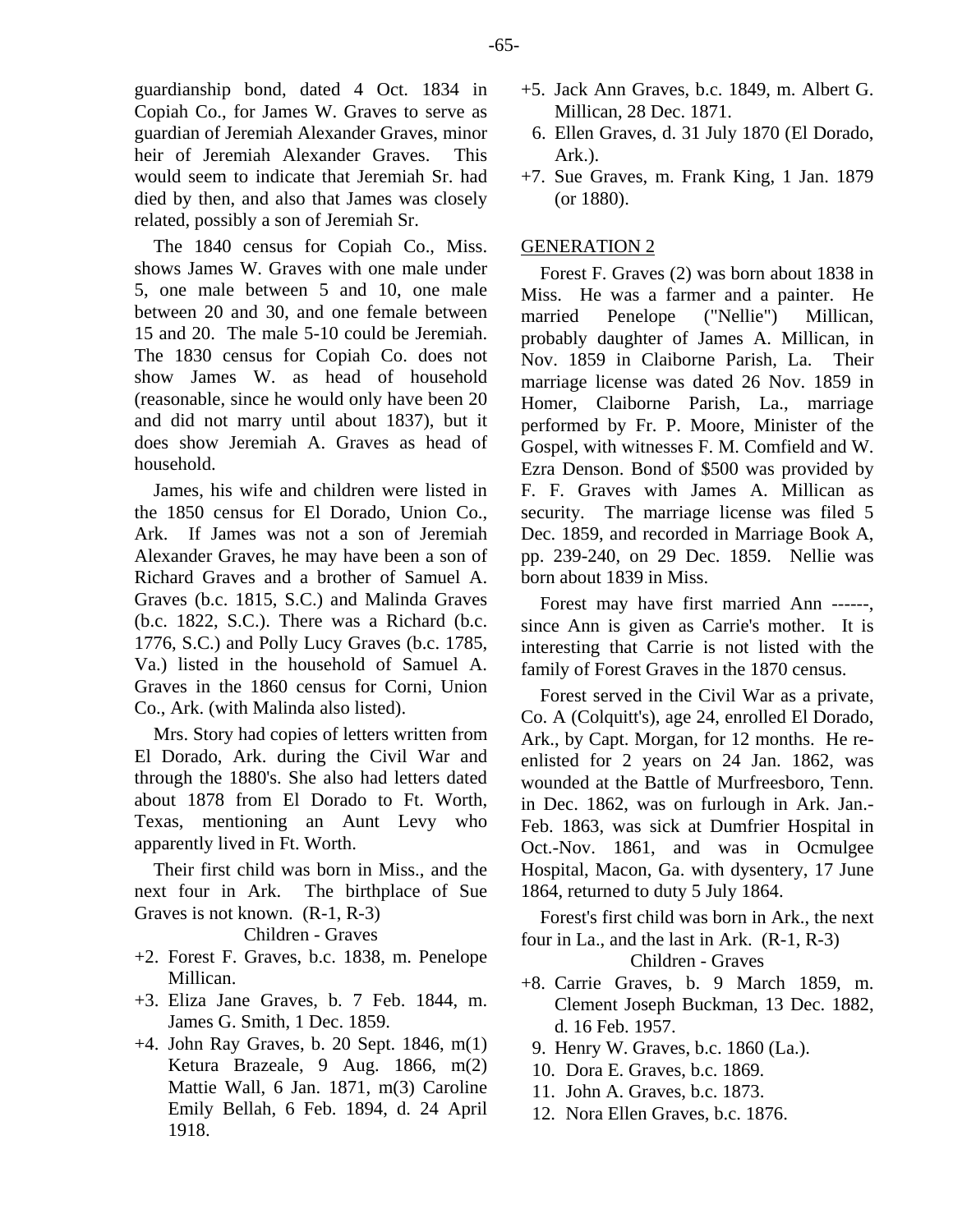The 1840 census for Copiah Co., Miss. shows James W. Graves with one male under 5, one male between 5 and 10, one male between 20 and 30, and one female between 15 and 20. The male 5-10 could be Jeremiah. The 1830 census for Copiah Co. does not show James W. as head of household (reasonable, since he would only have been 20 and did not marry until about 1837), but it does show Jeremiah A. Graves as head of household.

James, his wife and children were listed in the 1850 census for El Dorado, Union Co., Ark. If James was not a son of Jeremiah Alexander Graves, he may have been a son of Richard Graves and a brother of Samuel A. Graves (b.c. 1815, S.C.) and Malinda Graves (b.c. 1822, S.C.). There was a Richard (b.c. 1776, S.C.) and Polly Lucy Graves (b.c. 1785, Va.) listed in the household of Samuel A. Graves in the 1860 census for Corni, Union Co., Ark. (with Malinda also listed).

Mrs. Story had copies of letters written from El Dorado, Ark. during the Civil War and through the 1880's. She also had letters dated about 1878 from El Dorado to Ft. Worth, Texas, mentioning an Aunt Levy who apparently lived in Ft. Worth.

Their first child was born in Miss., and the next four in Ark. The birthplace of Sue Graves is not known. (R-1, R-3)

Children - Graves

- +2. Forest F. Graves, b.c. 1838, m. Penelope Millican.
- +3. Eliza Jane Graves, b. 7 Feb. 1844, m. James G. Smith, 1 Dec. 1859.
- +4. John Ray Graves, b. 20 Sept. 1846, m(1) Ketura Brazeale, 9 Aug. 1866, m(2) Mattie Wall, 6 Jan. 1871, m(3) Caroline Emily Bellah, 6 Feb. 1894, d. 24 April 1918.
- +5. Jack Ann Graves, b.c. 1849, m. Albert G. Millican, 28 Dec. 1871.
- 6. Ellen Graves, d. 31 July 1870 (El Dorado, Ark.).
- +7. Sue Graves, m. Frank King, 1 Jan. 1879 (or 1880).

# GENERATION 2

Forest F. Graves (2) was born about 1838 in Miss. He was a farmer and a painter. He married Penelope ("Nellie") Millican, probably daughter of James A. Millican, in Nov. 1859 in Claiborne Parish, La. Their marriage license was dated 26 Nov. 1859 in Homer, Claiborne Parish, La., marriage performed by Fr. P. Moore, Minister of the Gospel, with witnesses F. M. Comfield and W. Ezra Denson. Bond of \$500 was provided by F. F. Graves with James A. Millican as security. The marriage license was filed 5 Dec. 1859, and recorded in Marriage Book A, pp. 239-240, on 29 Dec. 1859. Nellie was born about 1839 in Miss.

Forest may have first married Ann ------, since Ann is given as Carrie's mother. It is interesting that Carrie is not listed with the family of Forest Graves in the 1870 census.

Forest served in the Civil War as a private, Co. A (Colquitt's), age 24, enrolled El Dorado, Ark., by Capt. Morgan, for 12 months. He reenlisted for 2 years on 24 Jan. 1862, was wounded at the Battle of Murfreesboro, Tenn. in Dec. 1862, was on furlough in Ark. Jan.- Feb. 1863, was sick at Dumfrier Hospital in Oct.-Nov. 1861, and was in Ocmulgee Hospital, Macon, Ga. with dysentery, 17 June 1864, returned to duty 5 July 1864.

Forest's first child was born in Ark., the next four in La., and the last in Ark. (R-1, R-3)

- +8. Carrie Graves, b. 9 March 1859, m. Clement Joseph Buckman, 13 Dec. 1882, d. 16 Feb. 1957.
	- 9. Henry W. Graves, b.c. 1860 (La.).
- 10. Dora E. Graves, b.c. 1869.
- 11. John A. Graves, b.c. 1873.
- 12. Nora Ellen Graves, b.c. 1876.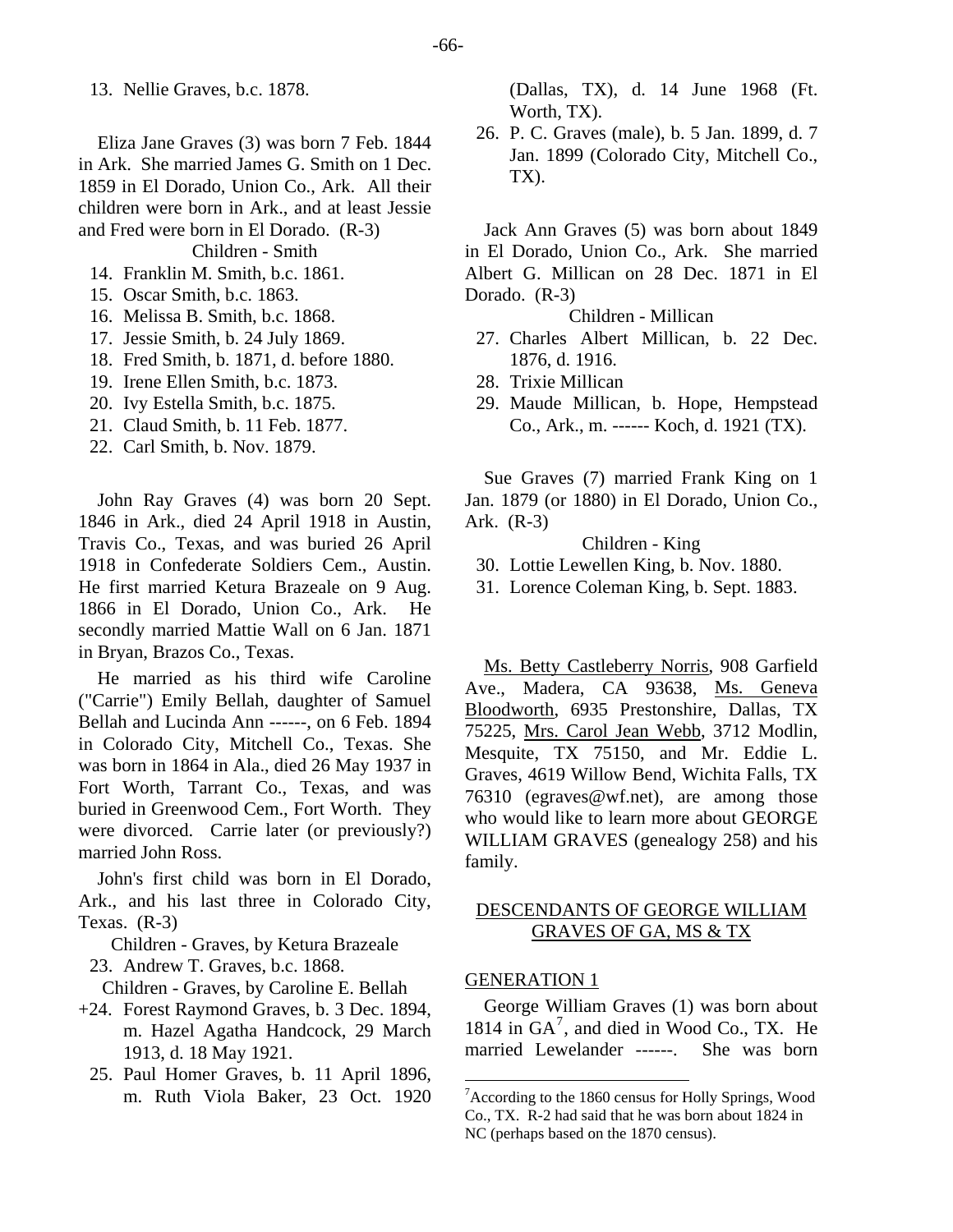13. Nellie Graves, b.c. 1878.

Eliza Jane Graves (3) was born 7 Feb. 1844 in Ark. She married James G. Smith on 1 Dec. 1859 in El Dorado, Union Co., Ark. All their children were born in Ark., and at least Jessie and Fred were born in El Dorado. (R-3) Children - Smith

14. Franklin M. Smith, b.c. 1861.

- 15. Oscar Smith, b.c. 1863.
- 16. Melissa B. Smith, b.c. 1868.
- 17. Jessie Smith, b. 24 July 1869.
- 18. Fred Smith, b. 1871, d. before 1880.
- 19. Irene Ellen Smith, b.c. 1873.
- 20. Ivy Estella Smith, b.c. 1875.
- 21. Claud Smith, b. 11 Feb. 1877.
- 22. Carl Smith, b. Nov. 1879.

John Ray Graves (4) was born 20 Sept. 1846 in Ark., died 24 April 1918 in Austin, Travis Co., Texas, and was buried 26 April 1918 in Confederate Soldiers Cem., Austin. He first married Ketura Brazeale on 9 Aug. 1866 in El Dorado, Union Co., Ark. He secondly married Mattie Wall on 6 Jan. 1871 in Bryan, Brazos Co., Texas.

He married as his third wife Caroline ("Carrie") Emily Bellah, daughter of Samuel Bellah and Lucinda Ann ------, on 6 Feb. 1894 in Colorado City, Mitchell Co., Texas. She was born in 1864 in Ala., died 26 May 1937 in Fort Worth, Tarrant Co., Texas, and was buried in Greenwood Cem., Fort Worth. They were divorced. Carrie later (or previously?) married John Ross.

John's first child was born in El Dorado, Ark., and his last three in Colorado City, Texas. (R-3)

Children - Graves, by Ketura Brazeale

23. Andrew T. Graves, b.c. 1868.

Children - Graves, by Caroline E. Bellah

- <span id="page-17-0"></span>+24. Forest Raymond Graves, b. 3 Dec. 1894, m. Hazel Agatha Handcock, 29 March 1913, d. 18 May 1921.
	- 25. Paul Homer Graves, b. 11 April 1896, m. Ruth Viola Baker, 23 Oct. 1920

(Dallas, TX), d. 14 June 1968 (Ft. Worth, TX).

 26. P. C. Graves (male), b. 5 Jan. 1899, d. 7 Jan. 1899 (Colorado City, Mitchell Co., TX).

Jack Ann Graves (5) was born about 1849 in El Dorado, Union Co., Ark. She married Albert G. Millican on 28 Dec. 1871 in El Dorado. (R-3)

Children - Millican

- 27. Charles Albert Millican, b. 22 Dec. 1876, d. 1916.
- 28. Trixie Millican
- 29. Maude Millican, b. Hope, Hempstead Co., Ark., m. ------ Koch, d. 1921 (TX).

Sue Graves (7) married Frank King on 1 Jan. 1879 (or 1880) in El Dorado, Union Co., Ark. (R-3)

## Children - King

- 30. Lottie Lewellen King, b. Nov. 1880.
- 31. Lorence Coleman King, b. Sept. 1883.

Ms. Betty Castleberry Norris, 908 Garfield Ave., Madera, CA 93638, Ms. Geneva Bloodworth, 6935 Prestonshire, Dallas, TX 75225, Mrs. Carol Jean Webb, 3712 Modlin, Mesquite, TX 75150, and Mr. Eddie L. Graves, 4619 Willow Bend, Wichita Falls, TX 76310 (egraves@wf.net), are among those who would like to learn more about GEORGE WILLIAM GRAVES (genealogy 258) and his family.

# DESCENDANTS OF GEORGE WILLIAM GRAVES OF GA, MS & TX

## GENERATION 1

George William Graves (1) was born about 1814 in GA<sup>[7](#page-17-0)</sup>, and died in Wood Co., TX. He married Lewelander ------. She was born

<sup>&</sup>lt;sup>7</sup> According to the 1860 census for Holly Springs, Wood Co., TX. R-2 had said that he was born about 1824 in NC (perhaps based on the 1870 census).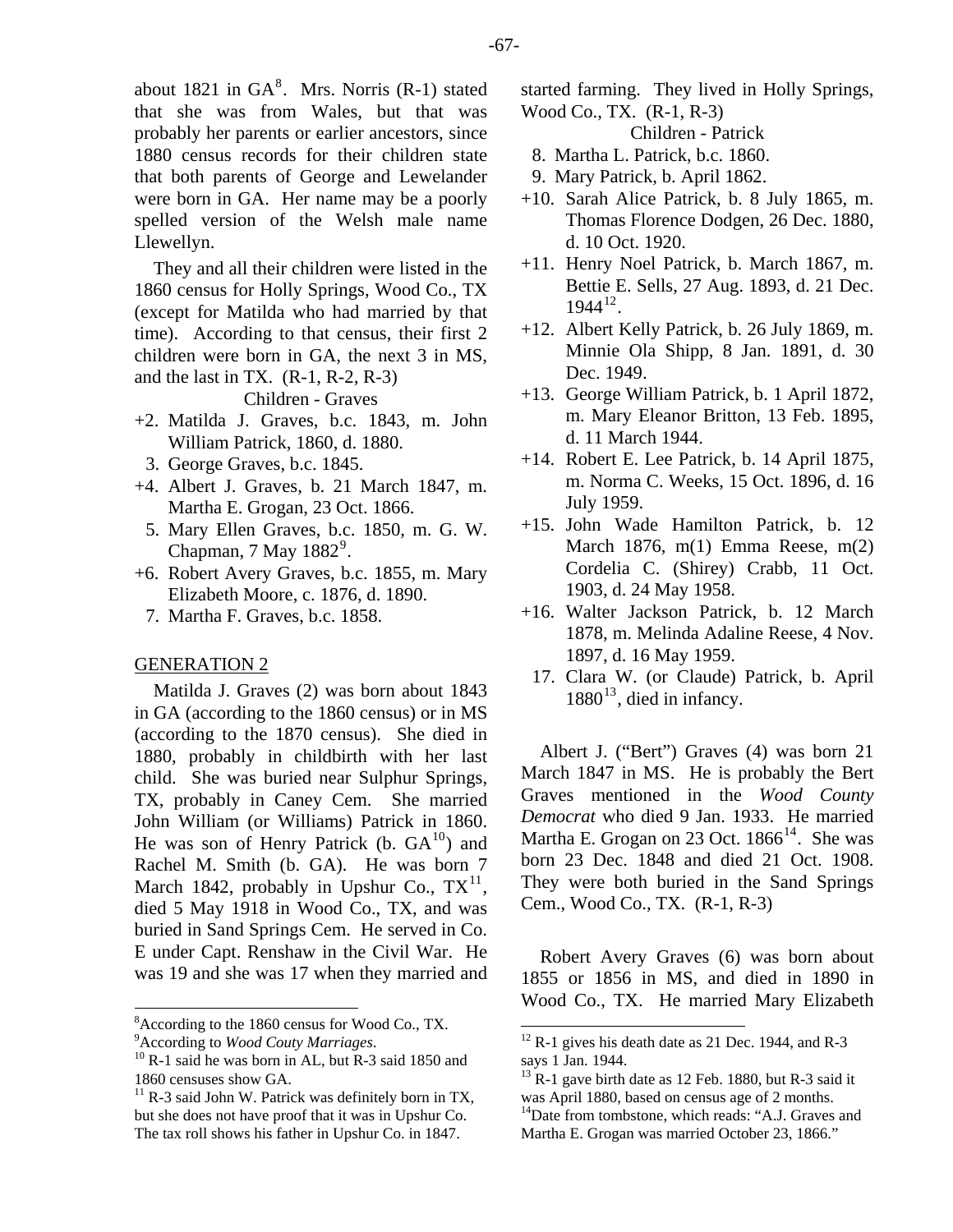about 1[8](#page-18-0)21 in  $GA^8$ . Mrs. Norris (R-1) stated that she was from Wales, but that was probably her parents or earlier ancestors, since 1880 census records for their children state that both parents of George and Lewelander were born in GA. Her name may be a poorly spelled version of the Welsh male name Llewellyn.

They and all their children were listed in the 1860 census for Holly Springs, Wood Co., TX (except for Matilda who had married by that time). According to that census, their first 2 children were born in GA, the next 3 in MS, and the last in TX.  $(R-1, R-2, R-3)$ 

Children - Graves

- +2. Matilda J. Graves, b.c. 1843, m. John William Patrick, 1860, d. 1880.
- 3. George Graves, b.c. 1845.
- +4. Albert J. Graves, b. 21 March 1847, m. Martha E. Grogan, 23 Oct. 1866.
	- 5. Mary Ellen Graves, b.c. 1850, m. G. W. Chapman,  $7$  May  $1882^9$  $1882^9$ .
- +6. Robert Avery Graves, b.c. 1855, m. Mary Elizabeth Moore, c. 1876, d. 1890.
	- 7. Martha F. Graves, b.c. 1858.

## GENERATION 2

Matilda J. Graves (2) was born about 1843 in GA (according to the 1860 census) or in MS (according to the 1870 census). She died in 1880, probably in childbirth with her last child. She was buried near Sulphur Springs, TX, probably in Caney Cem. She married John William (or Williams) Patrick in 1860. He was son of Henry Patrick (b.  $GA^{10}$  $GA^{10}$  $GA^{10}$ ) and Rachel M. Smith (b. GA). He was born 7 March 1842, probably in Upshur Co.,  $TX^{11}$  $TX^{11}$  $TX^{11}$ , died 5 May 1918 in Wood Co., TX, and was buried in Sand Springs Cem. He served in Co. E under Capt. Renshaw in the Civil War. He was 19 and she was 17 when they married and started farming. They lived in Holly Springs, Wood Co., TX. (R-1, R-3)

Children - Patrick

- 8. Martha L. Patrick, b.c. 1860.
- 9. Mary Patrick, b. April 1862.
- +10. Sarah Alice Patrick, b. 8 July 1865, m. Thomas Florence Dodgen, 26 Dec. 1880, d. 10 Oct. 1920.
- +11. Henry Noel Patrick, b. March 1867, m. Bettie E. Sells, 27 Aug. 1893, d. 21 Dec.  $1944^{12}$  $1944^{12}$  $1944^{12}$ .
- +12. Albert Kelly Patrick, b. 26 July 1869, m. Minnie Ola Shipp, 8 Jan. 1891, d. 30 Dec. 1949.
- +13. George William Patrick, b. 1 April 1872, m. Mary Eleanor Britton, 13 Feb. 1895, d. 11 March 1944.
- +14. Robert E. Lee Patrick, b. 14 April 1875, m. Norma C. Weeks, 15 Oct. 1896, d. 16 July 1959.
- +15. John Wade Hamilton Patrick, b. 12 March 1876, m(1) Emma Reese, m(2) Cordelia C. (Shirey) Crabb, 11 Oct. 1903, d. 24 May 1958.
- +16. Walter Jackson Patrick, b. 12 March 1878, m. Melinda Adaline Reese, 4 Nov. 1897, d. 16 May 1959.
	- 17. Clara W. (or Claude) Patrick, b. April  $1880^{13}$  $1880^{13}$  $1880^{13}$ , died in infancy.

Albert J. ("Bert") Graves (4) was born 21 March 1847 in MS. He is probably the Bert Graves mentioned in the *Wood County Democrat* who died 9 Jan. 1933. He married Martha E. Grogan on 23 Oct.  $1866^{14}$  $1866^{14}$  $1866^{14}$ . She was born 23 Dec. 1848 and died 21 Oct. 1908. They were both buried in the Sand Springs Cem., Wood Co., TX. (R-1, R-3)

Robert Avery Graves (6) was born about 1855 or 1856 in MS, and died in 1890 in Wood Co., TX. He married Mary Elizabeth

<sup>8</sup> According to the 1860 census for Wood Co., TX.

<span id="page-18-1"></span><span id="page-18-0"></span><sup>&</sup>lt;sup>9</sup> According to Wood Couty Marriages.

<span id="page-18-2"></span><sup>&</sup>lt;sup>10</sup> R-1 said he was born in AL, but R-3 said 1850 and 1860 censuses show GA.

<span id="page-18-5"></span><span id="page-18-4"></span><span id="page-18-3"></span> $11$  R-3 said John W. Patrick was definitely born in TX, but she does not have proof that it was in Upshur Co. The tax roll shows his father in Upshur Co. in 1847.

 $12$  R-1 gives his death date as 21 Dec. 1944, and R-3 says 1 Jan. 1944.

 $13$  R-1 gave birth date as 12 Feb. 1880, but R-3 said it was April 1880, based on census age of 2 months. <sup>14</sup>Date from tombstone, which reads: "A.J. Graves and Martha E. Grogan was married October 23, 1866."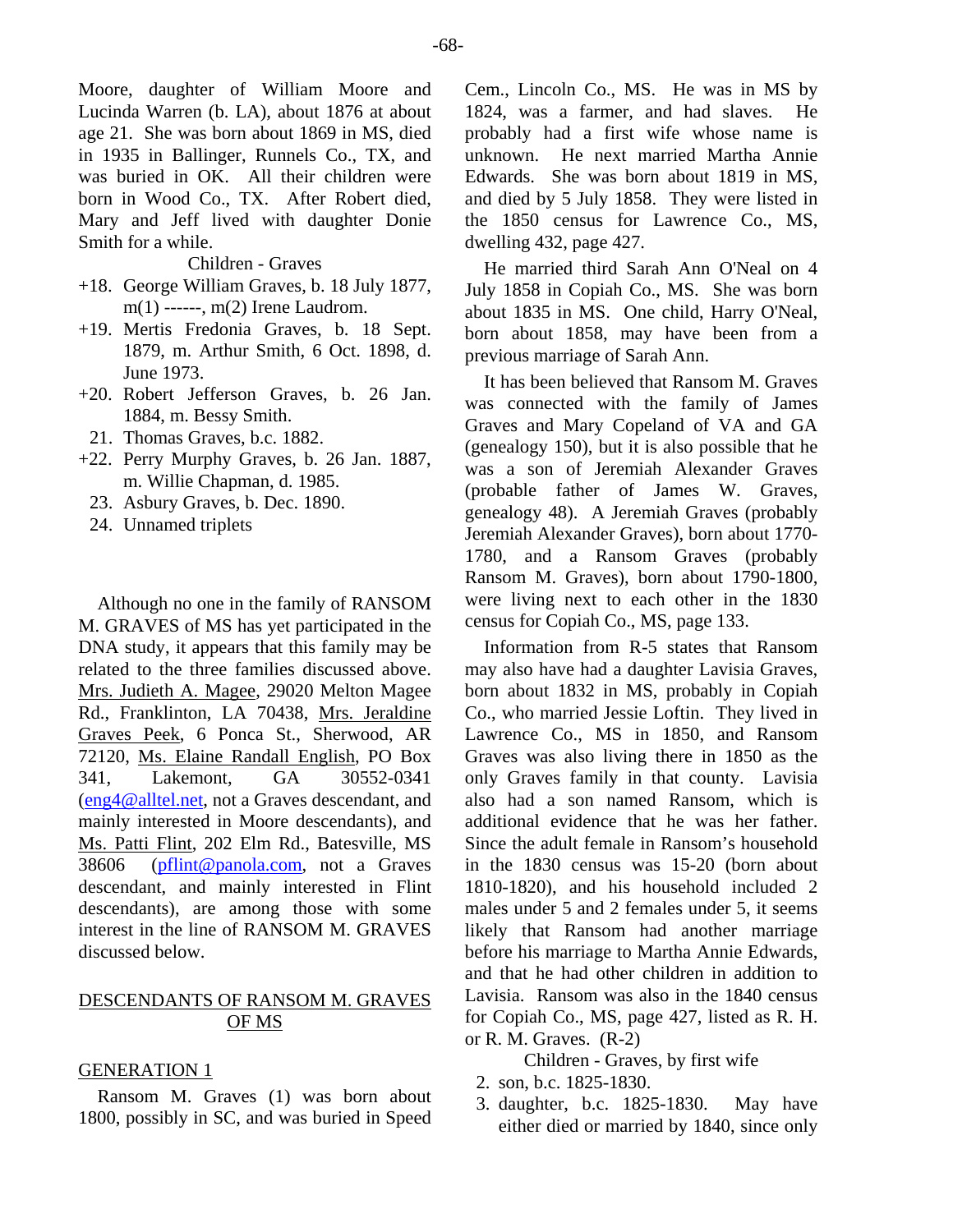Moore, daughter of William Moore and Lucinda Warren (b. LA), about 1876 at about age 21. She was born about 1869 in MS, died in 1935 in Ballinger, Runnels Co., TX, and was buried in OK. All their children were born in Wood Co., TX. After Robert died, Mary and Jeff lived with daughter Donie Smith for a while.

Children - Graves

- +18. George William Graves, b. 18 July 1877, m(1) ------, m(2) Irene Laudrom.
- +19. Mertis Fredonia Graves, b. 18 Sept. 1879, m. Arthur Smith, 6 Oct. 1898, d. June 1973.
- +20. Robert Jefferson Graves, b. 26 Jan. 1884, m. Bessy Smith.
- 21. Thomas Graves, b.c. 1882.
- +22. Perry Murphy Graves, b. 26 Jan. 1887, m. Willie Chapman, d. 1985.
	- 23. Asbury Graves, b. Dec. 1890.
	- 24. Unnamed triplets

Although no one in the family of RANSOM M. GRAVES of MS has yet participated in the DNA study, it appears that this family may be related to the three families discussed above. Mrs. Judieth A. Magee, 29020 Melton Magee Rd., Franklinton, LA 70438, Mrs. Jeraldine Graves Peek, 6 Ponca St., Sherwood, AR 72120, Ms. Elaine Randall English, PO Box 341, Lakemont, GA 30552-0341 [\(eng4@alltel.net,](mailto:eng4@alltel.net) not a Graves descendant, and mainly interested in Moore descendants), and Ms. Patti Flint, 202 Elm Rd., Batesville, MS 38606 [\(pflint@panola.com](mailto:pflint@panola.com), not a Graves descendant, and mainly interested in Flint descendants), are among those with some interest in the line of RANSOM M. GRAVES discussed below.

# DESCENDANTS OF RANSOM M. GRAVES OF MS

## GENERATION 1

Ransom M. Graves (1) was born about 1800, possibly in SC, and was buried in Speed

Cem., Lincoln Co., MS. He was in MS by 1824, was a farmer, and had slaves. He probably had a first wife whose name is unknown. He next married Martha Annie Edwards. She was born about 1819 in MS, and died by 5 July 1858. They were listed in the 1850 census for Lawrence Co., MS, dwelling 432, page 427.

He married third Sarah Ann O'Neal on 4 July 1858 in Copiah Co., MS. She was born about 1835 in MS. One child, Harry O'Neal, born about 1858, may have been from a previous marriage of Sarah Ann.

It has been believed that Ransom M. Graves was connected with the family of James Graves and Mary Copeland of VA and GA (genealogy 150), but it is also possible that he was a son of Jeremiah Alexander Graves (probable father of James W. Graves, genealogy 48). A Jeremiah Graves (probably Jeremiah Alexander Graves), born about 1770- 1780, and a Ransom Graves (probably Ransom M. Graves), born about 1790-1800, were living next to each other in the 1830 census for Copiah Co., MS, page 133.

Information from R-5 states that Ransom may also have had a daughter Lavisia Graves, born about 1832 in MS, probably in Copiah Co., who married Jessie Loftin. They lived in Lawrence Co., MS in 1850, and Ransom Graves was also living there in 1850 as the only Graves family in that county. Lavisia also had a son named Ransom, which is additional evidence that he was her father. Since the adult female in Ransom's household in the 1830 census was 15-20 (born about 1810-1820), and his household included 2 males under 5 and 2 females under 5, it seems likely that Ransom had another marriage before his marriage to Martha Annie Edwards, and that he had other children in addition to Lavisia. Ransom was also in the 1840 census for Copiah Co., MS, page 427, listed as R. H. or R. M. Graves. (R-2)

Children - Graves, by first wife

- 2. son, b.c. 1825-1830.
- 3. daughter, b.c. 1825-1830. May have either died or married by 1840, since only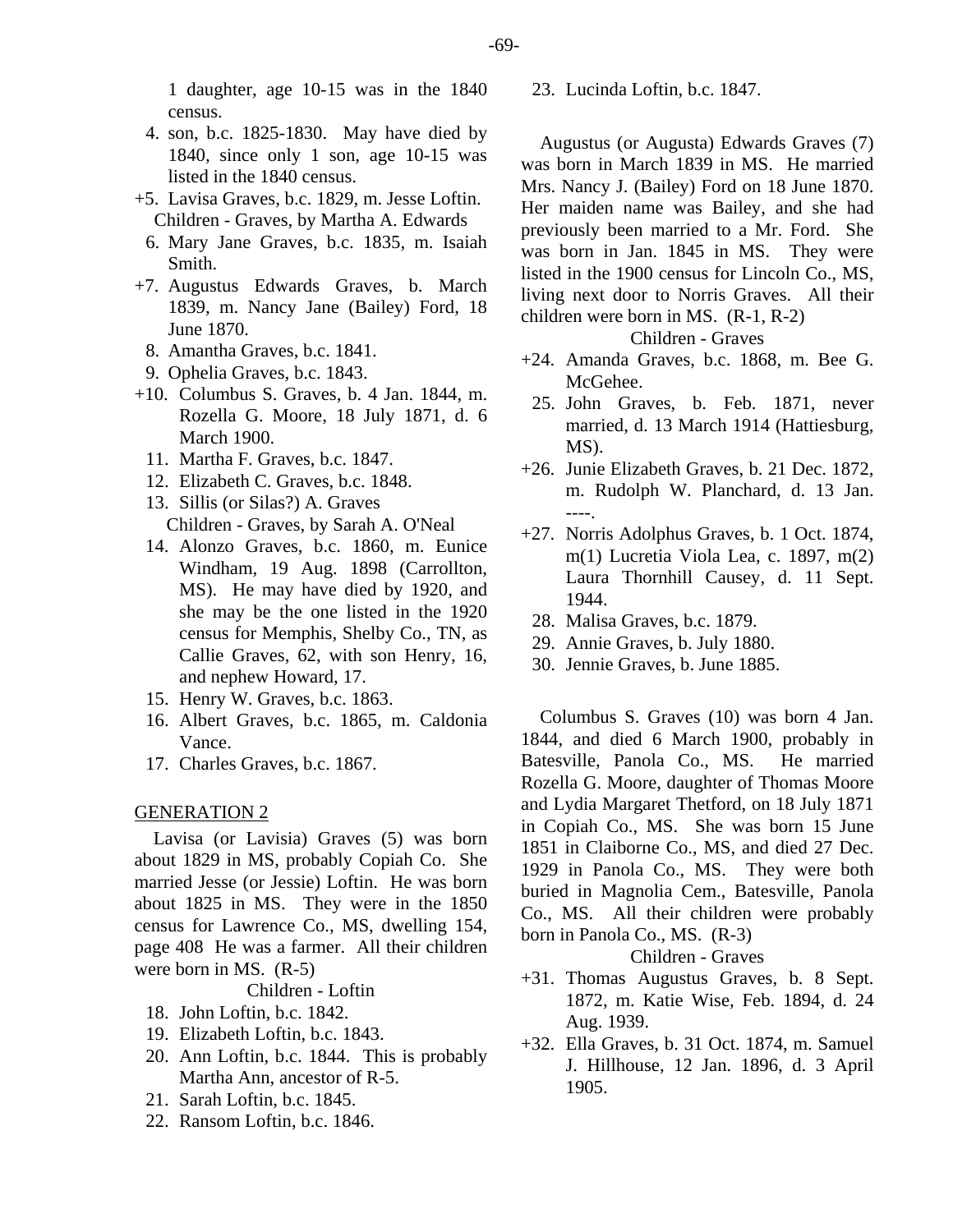- 4. son, b.c. 1825-1830. May have died by 1840, since only 1 son, age 10-15 was listed in the 1840 census.
- +5. Lavisa Graves, b.c. 1829, m. Jesse Loftin. Children - Graves, by Martha A. Edwards
	- 6. Mary Jane Graves, b.c. 1835, m. Isaiah Smith.
- +7. Augustus Edwards Graves, b. March 1839, m. Nancy Jane (Bailey) Ford, 18 June 1870.
	- 8. Amantha Graves, b.c. 1841.
	- 9. Ophelia Graves, b.c. 1843.
- +10. Columbus S. Graves, b. 4 Jan. 1844, m. Rozella G. Moore, 18 July 1871, d. 6 March 1900.
	- 11. Martha F. Graves, b.c. 1847.
	- 12. Elizabeth C. Graves, b.c. 1848.
	- 13. Sillis (or Silas?) A. Graves Children - Graves, by Sarah A. O'Neal
	- 14. Alonzo Graves, b.c. 1860, m. Eunice Windham, 19 Aug. 1898 (Carrollton, MS). He may have died by 1920, and she may be the one listed in the 1920 census for Memphis, Shelby Co., TN, as Callie Graves, 62, with son Henry, 16, and nephew Howard, 17.
	- 15. Henry W. Graves, b.c. 1863.
	- 16. Albert Graves, b.c. 1865, m. Caldonia Vance.
	- 17. Charles Graves, b.c. 1867.

## GENERATION 2

Lavisa (or Lavisia) Graves (5) was born about 1829 in MS, probably Copiah Co. She married Jesse (or Jessie) Loftin. He was born about 1825 in MS. They were in the 1850 census for Lawrence Co., MS, dwelling 154, page 408 He was a farmer. All their children were born in MS. (R-5)

Children - Loftin

- 18. John Loftin, b.c. 1842.
- 19. Elizabeth Loftin, b.c. 1843.
- 20. Ann Loftin, b.c. 1844. This is probably Martha Ann, ancestor of R-5.
- 21. Sarah Loftin, b.c. 1845.
- 22. Ransom Loftin, b.c. 1846.

23. Lucinda Loftin, b.c. 1847.

Augustus (or Augusta) Edwards Graves (7) was born in March 1839 in MS. He married Mrs. Nancy J. (Bailey) Ford on 18 June 1870. Her maiden name was Bailey, and she had previously been married to a Mr. Ford. She was born in Jan. 1845 in MS. They were listed in the 1900 census for Lincoln Co., MS, living next door to Norris Graves. All their children were born in MS. (R-1, R-2)

# Children - Graves

- +24. Amanda Graves, b.c. 1868, m. Bee G. McGehee.
- 25. John Graves, b. Feb. 1871, never married, d. 13 March 1914 (Hattiesburg, MS).
- +26. Junie Elizabeth Graves, b. 21 Dec. 1872, m. Rudolph W. Planchard, d. 13 Jan.
- +27. Norris Adolphus Graves, b. 1 Oct. 1874, m(1) Lucretia Viola Lea, c. 1897, m(2) Laura Thornhill Causey, d. 11 Sept. 1944.
	- 28. Malisa Graves, b.c. 1879.
	- 29. Annie Graves, b. July 1880.
	- 30. Jennie Graves, b. June 1885.

Columbus S. Graves (10) was born 4 Jan. 1844, and died 6 March 1900, probably in Batesville, Panola Co., MS. He married Rozella G. Moore, daughter of Thomas Moore and Lydia Margaret Thetford, on 18 July 1871 in Copiah Co., MS. She was born 15 June 1851 in Claiborne Co., MS, and died 27 Dec. 1929 in Panola Co., MS. They were both buried in Magnolia Cem., Batesville, Panola Co., MS. All their children were probably born in Panola Co., MS. (R-3)

- +31. Thomas Augustus Graves, b. 8 Sept. 1872, m. Katie Wise, Feb. 1894, d. 24 Aug. 1939.
- +32. Ella Graves, b. 31 Oct. 1874, m. Samuel J. Hillhouse, 12 Jan. 1896, d. 3 April 1905.